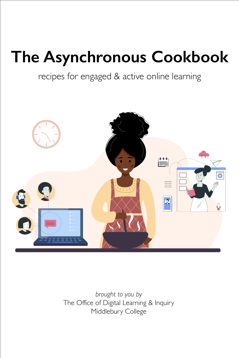# **The Asynchronous Cookbook**

# *brought to you by* The Office of Digital Learning & Inquiry Middlebury College

recipes for engaged & active online learning

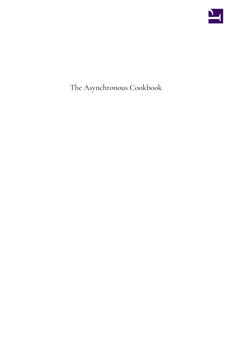

The Asynchronous Cookbook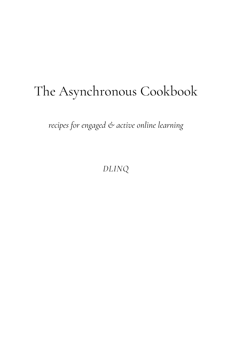# The Asynchronous Cookbook

*recipes for engaged & active online learning* 

*DLINQ*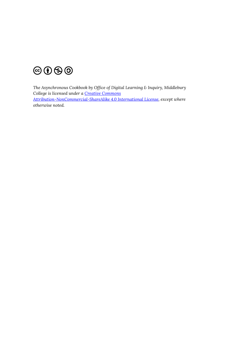

*The Asynchronous Cookbook by Office of Digital Learning & Inquiry, Middlebury College is licensed under a [Creative Commons](https://creativecommons.org/licenses/by-nc-sa/4.0/)  [Attribution-NonCommercial-ShareAlike 4.0 International License,](https://creativecommons.org/licenses/by-nc-sa/4.0/) except where otherwise noted.*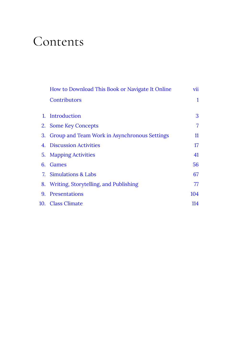# Contents

|    | How to Download This Book or Navigate It Online | vii |
|----|-------------------------------------------------|-----|
|    | Contributors                                    | 1   |
|    |                                                 |     |
| 1. | Introduction                                    | 3   |
| 2. | <b>Some Key Concepts</b>                        | 7   |
| 3. | Group and Team Work in Asynchronous Settings    | 11  |
| 4. | <b>Discussion Activities</b>                    | 17  |
| 5. | <b>Mapping Activities</b>                       | 41  |
| 6. | Games                                           | 56  |
|    | 7. Simulations & Labs                           | 67  |
|    | 8. Writing, Storytelling, and Publishing        | 77  |
| 9. | <b>Presentations</b>                            | 104 |
|    | 10. Class Climate                               | 114 |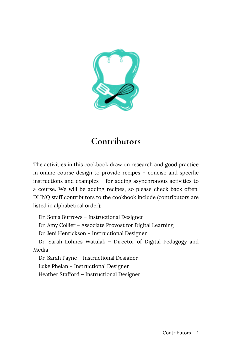<span id="page-8-0"></span>

#### **Contributors**

The activities in this cookbook draw on research and good practice in online course design to provide recipes – concise and specific instructions and examples – for adding asynchronous activities to a course. We will be adding recipes, so please check back often. DLINQ staff contributors to the cookbook include (contributors are listed in alphabetical order):

Dr. Sonja Burrows – Instructional Designer

Dr. Amy Collier – Associate Provost for Digital Learning

Dr. Jeni Henrickson – Instructional Designer

Dr. Sarah Lohnes Watulak – Director of Digital Pedagogy and Media

Dr. Sarah Payne – Instructional Designer Luke Phelan – Instructional Designer Heather Stafford – Instructional Designer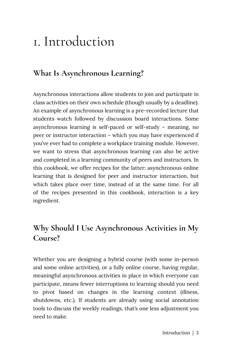# <span id="page-10-0"></span>1. Introduction

#### **What Is Asynchronous Learning?**

Asynchronous interactions allow students to join and participate in class activities on their own schedule (though usually by a deadline). An example of asynchronous learning is a pre-recorded lecture that students watch followed by discussion board interactions. Some asynchronous learning is self-paced or self-study – meaning, no peer or instructor interaction – which you may have experienced if you've ever had to complete a workplace training module. However, we want to stress that asynchronous learning can also be active and completed in a learning community of peers and instructors. In this cookbook, we offer recipes for the latter: asynchronous online learning that is designed for peer and instructor interaction, but which takes place over time, instead of at the same time. For all of the recipes presented in this cookbook, interaction is a key ingredient.

#### **Why Should I Use Asynchronous Activities in My Course?**

Whether you are designing a hybrid course (with some in-person and some online activities), or a fully online course, having regular, meaningful asynchronous activities in place in which everyone can participate, means fewer interruptions to learning should you need to pivot based on changes in the learning context (illness, shutdowns, etc.). If students are already using social annotation tools to discuss the weekly readings, that's one less adjustment you need to make.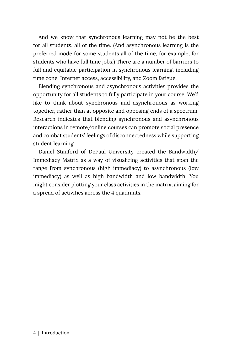And we know that synchronous learning may not be the best for all students, all of the time. (And asynchronous learning is the preferred mode for some students all of the time, for example, for students who have full time jobs.) There are a number of barriers to full and equitable participation in synchronous learning, including time zone, Internet access, accessibility, and Zoom fatigue.

Blending synchronous and asynchronous activities provides the opportunity for all students to fully participate in your course. We'd like to think about synchronous and asynchronous as working together, rather than at opposite and opposing ends of a spectrum. Research indicates that blending synchronous and asynchronous interactions in remote/online courses can promote social presence and combat students' feelings of disconnectedness while supporting student learning.

Daniel Stanford of DePaul University created the Bandwidth/ Immediacy Matrix as a way of visualizing activities that span the range from synchronous (high immediacy) to asynchronous (low immediacy) as well as high bandwidth and low bandwidth. You might consider plotting your class activities in the matrix, aiming for a spread of activities across the 4 quadrants.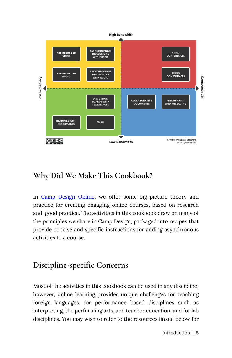

#### **Why Did We Make This Cookbook?**

In [Camp Design Online](https://dlinq.middcreate.net/campsite/), we offer some big-picture theory and practice for creating engaging online courses, based on research and good practice. The activities in this cookbook draw on many of the principles we share in Camp Design, packaged into recipes that provide concise and specific instructions for adding asynchronous activities to a course.

#### **Discipline-specific Concerns**

Most of the activities in this cookbook can be used in any discipline; however, online learning provides unique challenges for teaching foreign languages, for performance based disciplines such as interpreting, the performing arts, and teacher education, and for lab disciplines. You may wish to refer to the resources linked below for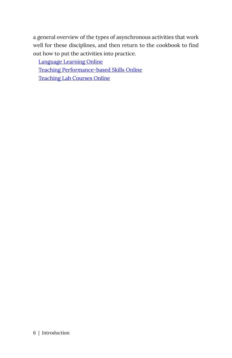a general overview of the types of asynchronous activities that work well for these disciplines, and then return to the cookbook to find out how to put the activities into practice.

[Language Learning Online](https://dlinq.middcreate.net/foreign-language-learning/) 

[Teaching Performance-based Skills Online](https://dlinq.middcreate.net/digital-language-learning/teaching-interpreting-other-performance-based-skills-online/) 

[Teaching Lab Courses Online](https://dlinq.middcreate.net/digital-literacy/course-continuity-for-lab-courses/)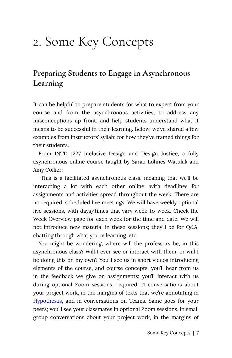### <span id="page-14-0"></span>2. Some Key Concepts

#### **Preparing Students to Engage in Asynchronous Learning**

It can be helpful to prepare students for what to expect from your course and from the asynchronous activities, to address any misconceptions up front, and help students understand what it means to be successful in their learning. Below, we've shared a few examples from instructors' syllabi for how they've framed things for their students.

From INTD 1227 Inclusive Design and Design Justice, a fully asynchronous online course taught by Sarah Lohnes Watulak and Amy Collier:

"This is a facilitated asynchronous class, meaning that we'll be interacting a lot with each other online, with deadlines for assignments and activities spread throughout the week. There are no required, scheduled live meetings. We will have weekly optional live sessions, with days/times that vary week-to-week. Check the Week Overview page for each week for the time and date. We will not introduce new material in these sessions; they'll be for Q&A, chatting through what you're learning, etc.

You might be wondering, where will the professors be, in this asynchronous class? Will I ever see or interact with them, or will I be doing this on my own? You'll see us in short videos introducing elements of the course, and course concepts; you'll hear from us in the feedback we give on assignments; you'll interact with us during optional Zoom sessions, required 1:1 conversations about your project work, in the margins of texts that we're annotating in [Hypothes.is,](http://hypothes.is/) and in conversations on Teams. Same goes for your peers; you'll see your classmates in optional Zoom sessions, in small group conversations about your project work, in the margins of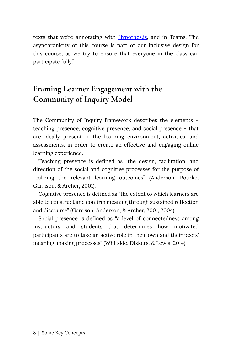texts that we're annotating with **Hypothes.is**, and in Teams. The asynchronicity of this course is part of our inclusive design for this course, as we try to ensure that everyone in the class can participate fully."

#### **Framing Learner Engagement with the Community of Inquiry Model**

The Community of Inquiry framework describes the elements – teaching presence, cognitive presence, and social presence – that are ideally present in the learning environment, activities, and assessments, in order to create an effective and engaging online learning experience.

Teaching presence is defined as "the design, facilitation, and direction of the social and cognitive processes for the purpose of realizing the relevant learning outcomes" (Anderson, Rourke, Garrison, & Archer, 2001).

Cognitive presence is defined as "the extent to which learners are able to construct and confirm meaning through sustained reflection and discourse" (Garrison, Anderson, & Archer, 2001, 2004).

Social presence is defined as "a level of connectedness among instructors and students that determines how motivated participants are to take an active role in their own and their peers' meaning-making processes" (Whitside, Dikkers, & Lewis, 2014).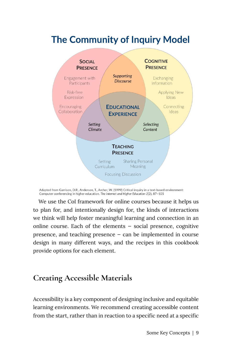#### **The Community of Inquiry Model**



Adapted from Garrison, D.R., Anderson, T., Archer, W. (1999) Critical inquiry in a text-based environment: Computer conferencing in higher education. The Internet and Higher Education 2(2), 87-105

We use the CoI framework for online courses because it helps us to plan for, and intentionally design for, the kinds of interactions we think will help foster meaningful learning and connection in an online course. Each of the elements — social presence, cognitive presence, and teaching presence — can be implemented in course design in many different ways, and the recipes in this cookbook provide options for each element.

#### **Creating Accessible Materials**

Accessibility is a key component of designing inclusive and equitable learning environments. We recommend creating accessible content from the start, rather than in reaction to a specific need at a specific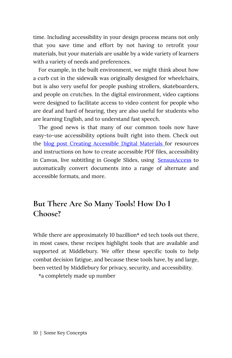time. Including accessibility in your design process means not only that you save time and effort by not having to retrofit your materials, but your materials are usable by a wide variety of learners with a variety of needs and preferences.

For example, in the built environment, we might think about how a curb cut in the sidewalk was originally designed for wheelchairs, but is also very useful for people pushing strollers, skateboarders, and people on crutches. In the digital environment, video captions were designed to facilitate access to video content for people who are deaf and hard of hearing, they are also useful for students who are learning English, and to understand fast speech.

The good news is that many of our common tools now have easy-to-use accessibility options built right into them. Check out the [blog post Creating Accessible Digital Materials f](https://dlinq.middcreate.net/digital-inclusion/creating-accessible-digital-materials/)or resources and instructions on how to create accessible PDF files, accessibility in Canvas, live subtitling in Google Slides, using **[SensusAccess](http://www.middlebury.edu/academics/resources/ctlr/students/accessible-technology)** to automatically convert documents into a range of alternate and accessible formats, and more.

#### **But There Are So Many Tools! How Do I Choose?**

While there are approximately 10 bazillion<sup>\*</sup> ed tech tools out there, in most cases, these recipes highlight tools that are available and supported at Middlebury. We offer these specific tools to help combat decision fatigue, and because these tools have, by and large, been vetted by Middlebury for privacy, security, and accessibility.

\*a completely made up number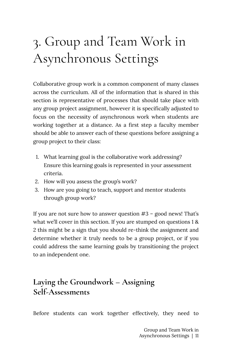# <span id="page-18-0"></span>3. Group and Team Work in Asynchronous Settings

Collaborative group work is a common component of many classes across the curriculum. All of the information that is shared in this section is representative of processes that should take place with any group project assignment, however it is specifically adjusted to focus on the necessity of asynchronous work when students are working together at a distance. As a first step a faculty member should be able to answer each of these questions before assigning a group project to their class:

- 1. What learning goal is the collaborative work addressing? Ensure this learning goals is represented in your assessment criteria.
- 2. How will you assess the group's work?
- 3. How are you going to teach, support and mentor students through group work?

If you are not sure how to answer question #3 – good news! That's what we'll cover in this section. If you are stumped on questions 1 & 2 this might be a sign that you should re-think the assignment and determine whether it truly needs to be a group project, or if you could address the same learning goals by transitioning the project to an independent one.

#### **Laying the Groundwork – Assigning Self-Assessments**

Before students can work together effectively, they need to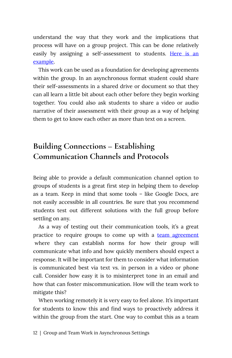understand the way that they work and the implications that process will have on a group project. This can be done relatively easily by assigning a self-assessment to students. [Here is an](https://docs.google.com/document/d/1Acq_5cjdkl23f_3_aeQPalzQ7XbnVkL2_P6oU51Haek/edit) [example.](https://docs.google.com/document/d/1Acq_5cjdkl23f_3_aeQPalzQ7XbnVkL2_P6oU51Haek/edit)

This work can be used as a foundation for developing agreements within the group. In an asynchronous format student could share their self-assessments in a shared drive or document so that they can all learn a little bit about each other before they begin working together. You could also ask students to share a video or audio narrative of their assessment with their group as a way of helping them to get to know each other as more than text on a screen.

#### **Building Connections – Establishing Communication Channels and Protocols**

Being able to provide a default communication channel option to groups of students is a great first step in helping them to develop as a team. Keep in mind that some tools – like Google Docs, are not easily accessible in all countries. Be sure that you recommend students test out different solutions with the full group before settling on any.

As a way of testing out their communication tools, it's a great practice to require groups to come up with a [team agreement](https://docs.google.com/document/d/1gUxzcAkyaeilE4ZWSGG4fw40eT215PiCgtWSPA_hiHg/edit) where they can establish norms for how their group will communicate what info and how quickly members should expect a response. It will be important for them to consider what information is communicated best via text vs. in person in a video or phone call. Consider how easy it is to misinterpret tone in an email and how that can foster miscommunication. How will the team work to mitigate this?

When working remotely it is very easy to feel alone. It's important for students to know this and find ways to proactively address it within the group from the start. One way to combat this as a team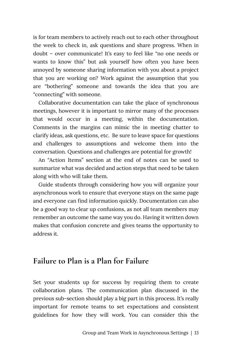is for team members to actively reach out to each other throughout the week to check in, ask questions and share progress. When in doubt – over communicate! It's easy to feel like "no one needs or wants to know this" but ask yourself how often you have been annoyed by someone sharing information with you about a project that you are working on? Work against the assumption that you are "bothering" someone and towards the idea that you are "connecting" with someone.

Collaborative documentation can take the place of synchronous meetings, however it is important to mirror many of the processes that would occur in a meeting, within the documentation. Comments in the margins can mimic the in meeting chatter to clarify ideas, ask questions, etc. Be sure to leave space for questions and challenges to assumptions and welcome them into the conversation. Questions and challenges are potential for growth!

An "Action Items" section at the end of notes can be used to summarize what was decided and action steps that need to be taken along with who will take them.

Guide students through considering how you will organize your asynchronous work to ensure that everyone stays on the same page and everyone can find information quickly. Documentation can also be a good way to clear up confusions, as not all team members may remember an outcome the same way you do. Having it written down makes that confusion concrete and gives teams the opportunity to address it.

#### **Failure to Plan is a Plan for Failure**

Set your students up for success by requiring them to create collaboration plans. The communication plan discussed in the previous sub-section should play a big part in this process. It's really important for remote teams to set expectations and consistent guidelines for how they will work. You can consider this the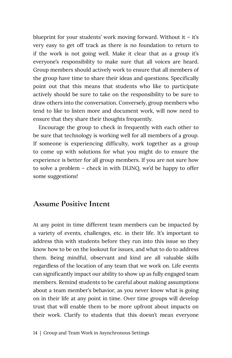blueprint for your students' work moving forward. Without it  $-$  it's very easy to get off track as there is no foundation to return to if the work is not going well. Make it clear that as a group it's everyone's responsibility to make sure that all voices are heard. Group members should actively work to ensure that all members of the group have time to share their ideas and questions. Specifically point out that this means that students who like to participate actively should be sure to take on the responsibility to be sure to draw others into the conversation. Conversely, group members who tend to like to listen more and document work, will now need to ensure that they share their thoughts frequently.

Encourage the group to check in frequently with each other to be sure that technology is working well for all members of a group. If someone is experiencing difficulty, work together as a group to come up with solutions for what you might do to ensure the experience is better for all group members. If you are not sure how to solve a problem – check in with DLINQ, we'd be happy to offer some suggestions!

#### **Assume Positive Intent**

At any point in time different team members can be impacted by a variety of events, challenges, etc. in their life. It's important to address this with students before they run into this issue so they know how to be on the lookout for issues, and what to do to address them. Being mindful, observant and kind are all valuable skills regardless of the location of any team that we work on. Life events can significantly impact our ability to show up as fully engaged team members. Remind students to be careful about making assumptions about a team member's behavior, as you never know what is going on in their life at any point in time. Over time groups will develop trust that will enable them to be more upfront about impacts on their work. Clarify to students that this doesn't mean everyone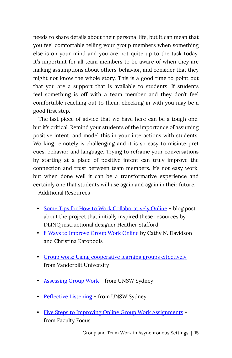needs to share details about their personal life, but it can mean that you feel comfortable telling your group members when something else is on your mind and you are not quite up to the task today. It's important for all team members to be aware of when they are making assumptions about others' behavior, and consider that they might not know the whole story. This is a good time to point out that you are a support that is available to students. If students feel something is off with a team member and they don't feel comfortable reaching out to them, checking in with you may be a good first step.

The last piece of advice that we have here can be a tough one, but it's critical. Remind your students of the importance of assuming positive intent, and model this in your interactions with students. Working remotely is challenging and it is so easy to misinterpret cues, behavior and language. Trying to reframe your conversations by starting at a place of positive intent can truly improve the connection and trust between team members. It's not easy work, but when done well it can be a transformative experience and certainly one that students will use again and again in their future. Additional Resources

- [Some Tips for How to Work Collaboratively Online](https://sites.middlebury.edu/heatherstafford/2021/02/03/some-tips-for-how-to-work-collaboratively-online/) blog post about the project that initially inspired these resources by DLINQ instructional designer Heather Stafford
- [8 Ways to Improve Group Work Online](https://www.insidehighered.com/advice/2020/10/28/advice-how-successfully-guide-students-group-work-online-opinion) by Cathy N. Davidson and Christina Katopodis
- [Group work: Using cooperative learning groups effectively](https://cft.vanderbilt.edu/guides-sub-pages/setting-up-and-facilitating-group-work-using-cooperative-learning-groups-effectively/) from Vanderbilt University
- [Assessing Group Work](https://teaching.unsw.edu.au/assessing-group-work) from UNSW Sydney
- [Reflective Listening](https://teaching.unsw.edu.au/group-work-reflective-listening) from UNSW Sydney
- [Five Steps to Improving Online Group Work Assignments](https://www.facultyfocus.com/articles/online-education/online-course-design-and-preparation/five-steps-to-improving-online-group-work-assignments/) from Faculty Focus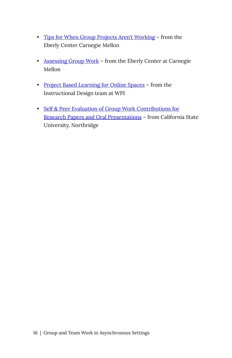- [Tips for When Group Projects Aren't Working](https://www.cmu.edu/teaching/solveproblem/strat-groupwork/index.html) from the Eberly Center Carnegie Mellon
- [Assessing Group Work](https://www.cmu.edu/teaching/assessment/assesslearning/groupWork.html) from the Eberly Center at Carnegie Mellon
- [Project Based Learning for Online Spaces](https://cpb-us-w2.wpmucdn.com/wp.wpi.edu/dist/e/220/files/2020/04/Best-Practices-PBL-Online.pdf) from the Instructional Design team at WPI
- [Self & Peer Evaluation of Group Work Contributions for](https://www.csun.edu/sites/default/files/Self%20%26%20Peer%20Evaluations%20of%20Group%20Work.pdf) [Research Papers and Oral Presentations](https://www.csun.edu/sites/default/files/Self%20%26%20Peer%20Evaluations%20of%20Group%20Work.pdf) – from California State University, Northridge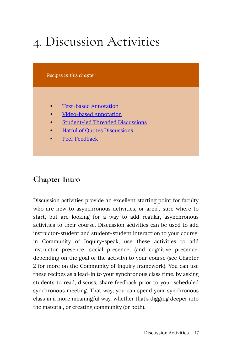# <span id="page-24-0"></span>4. Discussion Activities

*Recipes in this chapter* 

- [Text-based Annotation](#page-25-0)
- [Video-based Annotation](#page-30-0)
- [Student-led Threaded Discussions](#page-36-0)
- **[Hatful of Quotes Discussions](#page-40-0)**
- [Peer Feedback](#page-43-0)

#### **Chapter Intro**

Discussion activities provide an excellent starting point for faculty who are new to asynchronous activities, or aren't sure where to start, but are looking for a way to add regular, asynchronous activities to their course. Discussion activities can be used to add instructor-student and student-student interaction to your course; in Community of Inquiry-speak, use these activities to add instructor presence, social presence, (and cognitive presence, depending on the goal of the activity) to your course (see Chapter 2 for more on the Community of Inquiry framework). You can use these recipes as a lead-in to your synchronous class time, by asking students to read, discuss, share feedback prior to your scheduled synchronous meeting. That way, you can spend your synchronous class in a more meaningful way, whether that's digging deeper into the material, or creating community (or both).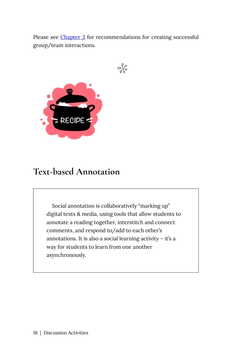Please see [Chapter 3](#page-18-0) for recommendations for creating successful group/team interactions.

$$
\mathcal{C}^{\mathbb{Q}}_{\delta\mathcal{S}}
$$



#### <span id="page-25-0"></span>**Text-based Annotation**

Social annotation is collaboratively "marking up" digital texts & media, using tools that allow students to annotate a reading together, interstitch and connect comments, and respond to/add to each other's annotations. It is also a social learning activity – it's a way for students to learn from one another asynchronously.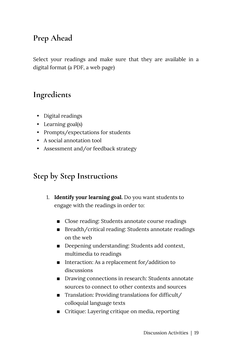#### **Prep Ahead**

Select your readings and make sure that they are available in a digital format (a PDF, a web page)

#### **Ingredients**

- Digital readings
- Learning goal(s)
- Prompts/expectations for students
- A social annotation tool
- Assessment and/or feedback strategy

#### **Step by Step Instructions**

- 1. **Identify your learning goal.** Do you want students to engage with the readings in order to:
	- Close reading: Students annotate course readings
	- Breadth/critical reading: Students annotate readings on the web
	- **Deepening understanding: Students add context,** multimedia to readings
	- Interaction: As a replacement for/addition to discussions
	- Drawing connections in research: Students annotate sources to connect to other contexts and sources
	- Translation: Providing translations for difficult/ colloquial language texts
	- Critique: Layering critique on media, reporting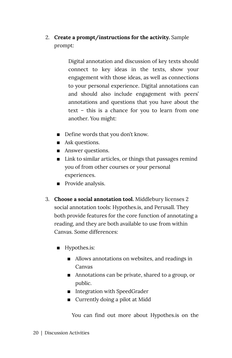2. **Create a prompt/instructions for the activity.** Sample prompt:

> Digital annotation and discussion of key texts should connect to key ideas in the texts, show your engagement with those ideas, as well as connections to your personal experience. Digital annotations can and should also include engagement with peers' annotations and questions that you have about the text – this is a chance for you to learn from one another. You might:

- Define words that you don't know.
- Ask questions.
- Answer questions.
- $\blacksquare$  Link to similar articles, or things that passages remind you of from other courses or your personal experiences.
- **Provide analysis.**
- 3. **Choose a social annotation tool.** Middlebury licenses 2 social annotation tools: Hypothes.is, and Perusall. They both provide features for the core function of annotating a reading, and they are both available to use from within Canvas. Some differences:
	- Hypothes.is:
		- Allows annotations on websites, and readings in Canvas
		- Annotations can be private, shared to a group, or public.
		- Integration with SpeedGrader
		- Currently doing a pilot at Midd

You can find out more about Hypothes.is on the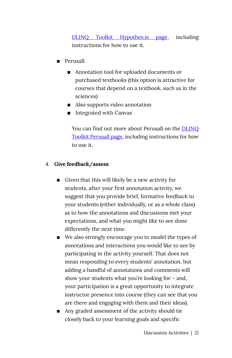[DLINQ Toolkit Hypothes.is page,](https://dlinq.middcreate.net/portfolio-items/hypothes-is-canvas-lti/?portfolioCats=349) including instructions for how to use it.

- **Perusall:** 
	- Annotation tool for uploaded documents or purchased textbooks (this option is attractive for courses that depend on a textbook, such as in the sciences)
	- Also supports video annotation
	- Integrated with Canvas

You can find out more about Perusall on the [DLINQ](https://dlinq.middcreate.net/portfolio-items/perusall-canvas-lti/?portfolioCats=349) [Toolkit Perusall page](https://dlinq.middcreate.net/portfolio-items/perusall-canvas-lti/?portfolioCats=349), including instructions for how to use it.

#### 4. **Give feedback/assess**

- **EXECUTE:** Given that this will likely be a new activity for students, after your first annotation activity, we suggest that you provide brief, formative feedback to your students (either individually, or as a whole class) as to how the annotations and discussions met your expectations, and what you might like to see done differently the next time.
- We also strongly encourage you to model the types of annotations and interactions you would like to see by participating in the activity yourself. That does not mean responding to every students' annotation, but adding a handful of annotations and comments will show your students what you're looking for – and, your participation is a great opportunity to integrate instructor presence into course (they can see that you are there and engaging with them and their ideas).
- Any graded assessment of the activity should tie closely back to your learning goals and specific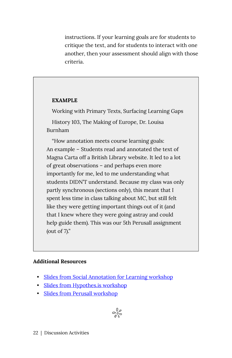instructions. If your learning goals are for students to critique the text, and for students to interact with one another, then your assessment should align with those criteria.

#### **EXAMPLE**

Working with Primary Texts, Surfacing Learning Gaps

History 103, The Making of Europe, Dr. Louisa Burnham

"How annotation meets course learning goals: An example – Students read and annotated the text of Magna Carta off a British Library website. It led to a lot of great observations – and perhaps even more importantly for me, led to me understanding what students DIDN'T understand. Because my class was only partly synchronous (sections only), this meant that I spent less time in class talking about MC, but still felt like they were getting important things out of it (and that I knew where they were going astray and could help guide them). This was our 5th Perusall assignment (out of 7)."

#### **Additional Resources**

- [Slides from Social Annotation for Learning workshop](https://docs.google.com/presentation/d/143tkjvB17Wm_nc19X33pKA8rrLWX07qb_nOf_RTAlis/edit#slide=id.g8d0130f873_0_16)
- [Slides from Hypothes.is workshop](https://docs.google.com/presentation/d/1ErKvvzByJS_IsUts4OJ0IvIThuAAWvAzg4QGTQz3KFk/edit#slide=id.g7d6407de04_0_36)
- [Slides from Perusall workshop](https://docs.google.com/presentation/d/1ZYVbJ2d2nzdiVF8ULzLjwJ8VGF_FO7fz5bwLKbVu-xI/edit#slide=id.g7145f97753_1_0)

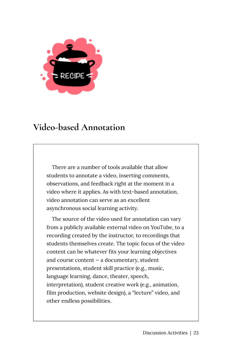

#### <span id="page-30-0"></span>**Video-based Annotation**

There are a number of tools available that allow students to annotate a video, inserting comments, observations, and feedback right at the moment in a video where it applies. As with text-based annotation, video annotation can serve as an excellent asynchronous social learning activity.

The source of the video used for annotation can vary from a publicly available external video on YouTube, to a recording created by the instructor, to recordings that students themselves create. The topic focus of the video content can be whatever fits your learning objectives and course content — a documentary, student presentations, student skill practice (e.g., music, language learning, dance, theater, speech, interpretation), student creative work (e.g., animation, film production, website design), a "lecture" video, and other endless possibilities.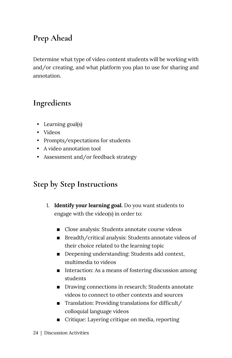#### **Prep Ahead**

Determine what type of video content students will be working with and/or creating, and what platform you plan to use for sharing and annotation.

#### **Ingredients**

- Learning goal(s)
- Videos
- Prompts/expectations for students
- A video annotation tool
- Assessment and/or feedback strategy

#### **Step by Step Instructions**

- 1. **Identify your learning goal.** Do you want students to engage with the video(s) in order to:
	- Close analysis: Students annotate course videos
	- Breadth/critical analysis: Students annotate videos of their choice related to the learning topic
	- Deepening understanding: Students add context, multimedia to videos
	- Interaction: As a means of fostering discussion among students
	- Drawing connections in research: Students annotate videos to connect to other contexts and sources
	- Translation: Providing translations for difficult/ colloquial language videos
	- Critique: Layering critique on media, reporting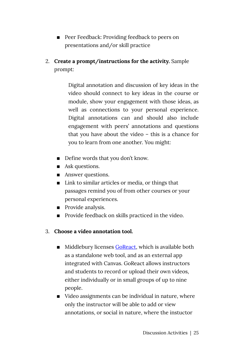- Peer Feedback: Providing feedback to peers on presentations and/or skill practice
- 2. **Create a prompt/instructions for the activity.** Sample prompt:

Digital annotation and discussion of key ideas in the video should connect to key ideas in the course or module, show your engagement with those ideas, as well as connections to your personal experience. Digital annotations can and should also include engagement with peers' annotations and questions that you have about the video – this is a chance for you to learn from one another. You might:

- Define words that you don't know.
- Ask questions.
- Answer questions.
- Link to similar articles or media, or things that passages remind you of from other courses or your personal experiences.
- **Provide analysis.**
- **Provide feedback on skills practiced in the video.**
- 3. **Choose a video annotation tool.** 
	- Middlebury licenses [GoReact](https://dlinq.middcreate.net/portfolio-items/goreact/?portfolioCats=302), which is available both as a standalone web tool, and as an external app integrated with Canvas. GoReact allows instructors and students to record or upload their own videos, either individually or in small groups of up to nine people.
	- Video assignments can be individual in nature, where only the instructor will be able to add or view annotations, or social in nature, where the instuctor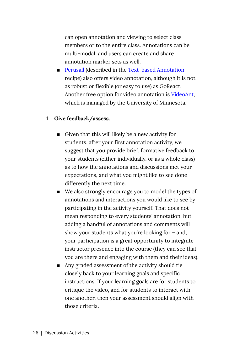can open annotation and viewing to select class members or to the entire class. Annotations can be multi-modal, and users can create and share annotation marker sets as well.

■ [Perusall](https://dlinq.middcreate.net/portfolio-items/perusall-canvas-lti/?portfolioCats=349) (described in the Text-based Annotation recipe) also offers video annotation, although it is not as robust or flexible (or easy to use) as GoReact. Another free option for video annotation is [VideoAnt,](https://ant.umn.edu/) which is managed by the University of Minnesota.

#### 4. **Give feedback/assess.**

- **EXECUTE:** Given that this will likely be a new activity for students, after your first annotation activity, we suggest that you provide brief, formative feedback to your students (either individually, or as a whole class) as to how the annotations and discussions met your expectations, and what you might like to see done differently the next time.
- We also strongly encourage you to model the types of annotations and interactions you would like to see by participating in the activity yourself. That does not mean responding to every students' annotation, but adding a handful of annotations and comments will show your students what you're looking for – and, your participation is a great opportunity to integrate instructor presence into the course (they can see that you are there and engaging with them and their ideas).
- Any graded assessment of the activity should tie closely back to your learning goals and specific instructions. If your learning goals are for students to critique the video, and for students to interact with one another, then your assessment should align with those criteria.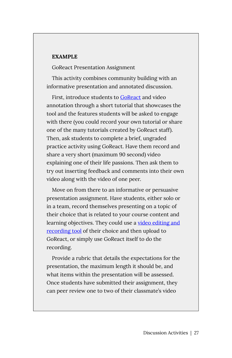#### **EXAMPLE**

GoReact Presentation Assignment

This activity combines community building with an informative presentation and annotated discussion.

First, introduce students to [GoReact](https://help.goreact.com/hc/en-us/categories/115000013583-Canvas) and video annotation through a short tutorial that showcases the tool and the features students will be asked to engage with there (you could record your own tutorial or share one of the many tutorials created by GoReact staff). Then, ask students to complete a brief, ungraded practice activity using GoReact. Have them record and share a very short (maximum 90 second) video explaining one of their life passions. Then ask them to try out inserting feedback and comments into their own video along with the video of one peer.

Move on from there to an informative or persuasive presentation assignment. Have students, either solo or in a team, record themselves presenting on a topic of their choice that is related to your course content and learning objectives. They could use a [video editing and](https://dlinq.middcreate.net/video-recording-editing/) [recording tool](https://dlinq.middcreate.net/video-recording-editing/) of their choice and then upload to GoReact, or simply use GoReact itself to do the recording.

Provide a rubric that details the expectations for the presentation, the maximum length it should be, and what items within the presentation will be assessed. Once students have submitted their assignment, they can peer review one to two of their classmate's video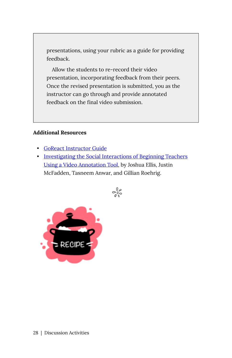presentations, using your rubric as a guide for providing feedback.

Allow the students to re-record their video presentation, incorporating feedback from their peers. Once the revised presentation is submitted, you as the instructor can go through and provide annotated feedback on the final video submission.

#### **Additional Resources**

- [GoReact Instructor Guide](https://help.goreact.com/hc/en-us/categories/115000013563-Canvas)
- [Investigating the Social Interactions of Beginning Teachers](https://citejournal.org/volume-15/issue-3-15/general/investigating-the-social-interactions-of-beginning-teachers-using-a-video-annotation-tool/) [Using a Video Annotation Tool](https://citejournal.org/volume-15/issue-3-15/general/investigating-the-social-interactions-of-beginning-teachers-using-a-video-annotation-tool/), by Joshua Ellis, Justin McFadden, Tasneem Anwar, and Gillian Roehrig.



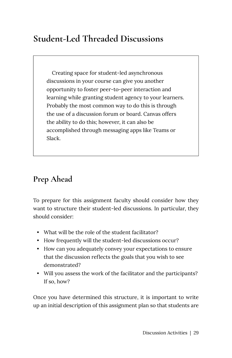# **Student-Led Threaded Discussions**

Creating space for student-led asynchronous discussions in your course can give you another opportunity to foster peer-to-peer interaction and learning while granting student agency to your learners. Probably the most common way to do this is through the use of a discussion forum or board. Canvas offers the ability to do this; however, it can also be accomplished through messaging apps like Teams or Slack.

# **Prep Ahead**

To prepare for this assignment faculty should consider how they want to structure their student-led discussions. In particular, they should consider:

- What will be the role of the student facilitator?
- How frequently will the student-led discussions occur?
- How can you adequately convey your expectations to ensure that the discussion reflects the goals that you wish to see demonstrated?
- Will you assess the work of the facilitator and the participants? If so, how?

Once you have determined this structure, it is important to write up an initial description of this assignment plan so that students are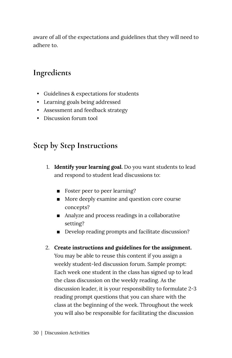aware of all of the expectations and guidelines that they will need to adhere to.

# **Ingredients**

- Guidelines & expectations for students
- Learning goals being addressed
- Assessment and feedback strategy
- Discussion forum tool

### **Step by Step Instructions**

- 1. **Identify your learning goal.** Do you want students to lead and respond to student lead discussions to:
	- Foster peer to peer learning?
	- More deeply examine and question core course concepts?
	- Analyze and process readings in a collaborative setting?
	- Develop reading prompts and facilitate discussion?
- 2. **Create instructions and guidelines for the assignment.**  You may be able to reuse this content if you assign a weekly student-led discussion forum. Sample prompt: Each week one student in the class has signed up to lead the class discussion on the weekly reading. As the discussion leader, it is your responsibility to formulate 2-3 reading prompt questions that you can share with the class at the beginning of the week. Throughout the week you will also be responsible for facilitating the discussion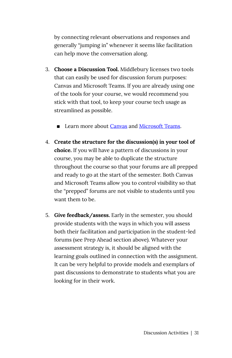by connecting relevant observations and responses and generally "jumping in" whenever it seems like facilitation can help move the conversation along.

- 3. **Choose a Discussion Tool.** Middlebury licenses two tools that can easily be used for discussion forum purposes: Canvas and Microsoft Teams. If you are already using one of the tools for your course, we would recommend you stick with that tool, to keep your course tech usage as streamlined as possible.
	- Learn more about [Canvas](https://dlinq.middcreate.net/portfolio-items/canvas/?portfolioCats=302) and [Microsoft Teams.](https://support.microsoft.com/en-us/office/microsoft-teams-video-training-4f108e54-240b-4351-8084-b1089f0d21d7?ui=en-us&rs=en-us&ad=us)
- 4. **Create the structure for the discussion(s) in your tool of choice.** If you will have a pattern of discussions in your course, you may be able to duplicate the structure throughout the course so that your forums are all prepped and ready to go at the start of the semester. Both Canvas and Microsoft Teams allow you to control visibility so that the "prepped" forums are not visible to students until you want them to be.
- 5. **Give feedback/assess.** Early in the semester, you should provide students with the ways in which you will assess both their facilitation and participation in the student-led forums (see Prep Ahead section above). Whatever your assessment strategy is, it should be aligned with the learning goals outlined in connection with the assignment. It can be very helpful to provide models and exemplars of past discussions to demonstrate to students what you are looking for in their work.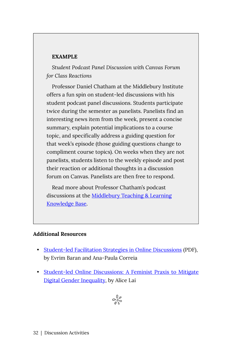#### **EXAMPLE**

*Student Podcast Panel Discussion with Canvas Forum for Class Reactions* 

Professor Daniel Chatham at the Middlebury Institute offers a fun spin on student-led discussions with his student podcast panel discussions. Students participate twice during the semester as panelists. Panelists find an interesting news item from the week, present a concise summary, explain potential implications to a course topic, and specifically address a guiding question for that week's episode (those guiding questions change to compliment course topics). On weeks when they are not panelists, students listen to the weekly episode and post their reaction or additional thoughts in a discussion forum on Canvas. Panelists are then free to respond.

Read more about Professor Chatham's podcast discussions at the [Middlebury Teaching & Learning](https://tlkb.middcreate.net/thing/student-podcast-panel-discussion-along-with-canvas-forum-for-class-reactions/) [Knowledge Base.](https://tlkb.middcreate.net/thing/student-podcast-panel-discussion-along-with-canvas-forum-for-class-reactions/)

#### **Additional Resources**

- [Student-led Facilitation Strategies in Online Discussions](https://courses.dcs.wisc.edu/design-teaching/FacilitationManagement_Spring2016/facilitation-module/4_Online_Discussions/resources/Student-led%20facilitation%20strategies.pdf) (PDF), by Evrim Baran and Ana-Paula Correia
- [Student-led Online Discussions: A Feminist Praxis to Mitigate](https://www.igi-global.com/chapter/student-led-online-discussions/254783) [Digital Gender Inequality,](https://www.igi-global.com/chapter/student-led-online-discussions/254783) by Alice Lai

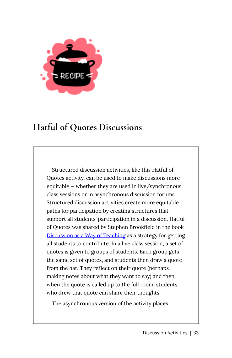

# **Hatful of Quotes Discussions**

Structured discussion activities, like this Hatful of Quotes activity, can be used to make discussions more equitable — whether they are used in live/synchronous class sessions or in asynchronous discussion forums. Structured discussion activities create more equitable paths for participation by creating structures that support all students' participation in a discussion. Hatful of Quotes was shared by Stephen Brookfield in the book [Discussion as a Way of Teaching](https://sites.temple.edu/bett/files/2014/01/Discussion_as_a_Way_of_Teaching1-copy.pdf) as a strategy for getting all students to contribute. In a live class session, a set of quotes is given to groups of students. Each group gets the same set of quotes, and students then draw a quote from the hat. They reflect on their quote (perhaps making notes about what they want to say) and then, when the quote is called up to the full room, students who drew that quote can share their thoughts.

The asynchronous version of the activity places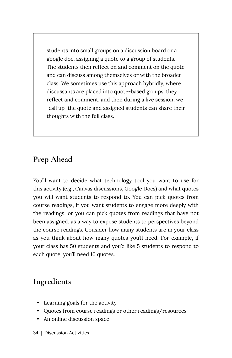students into small groups on a discussion board or a google doc, assigning a quote to a group of students. The students then reflect on and comment on the quote and can discuss among themselves or with the broader class. We sometimes use this approach hybridly, where discussants are placed into quote-based groups, they reflect and comment, and then during a live session, we "call up" the quote and assigned students can share their thoughts with the full class.

# **Prep Ahead**

You'll want to decide what technology tool you want to use for this activity (e.g., Canvas discussions, Google Docs) and what quotes you will want students to respond to. You can pick quotes from course readings, if you want students to engage more deeply with the readings, or you can pick quotes from readings that have not been assigned, as a way to expose students to perspectives beyond the course readings. Consider how many students are in your class as you think about how many quotes you'll need. For example, if your class has 50 students and you'd like 5 students to respond to each quote, you'll need 10 quotes.

# **Ingredients**

- Learning goals for the activity
- Quotes from course readings or other readings/resources
- An online discussion space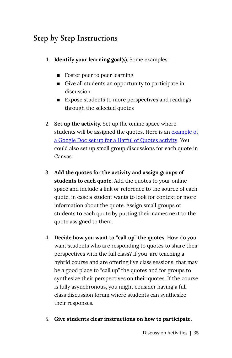# **Step by Step Instructions**

- 1. **Identify your learning goal(s).** Some examples:
	- Foster peer to peer learning
	- Give all students an opportunity to participate in discussion
	- Expose students to more perspectives and readings through the selected quotes
- 2. **Set up the activity.** Set up the online space where students will be assigned the quotes. Here is an [example of](https://docs.google.com/document/d/1HCs0eQYkQQoLdwXrnnKqxTbHT4OBKb0KTXsNfEiZm-0/edit?usp=sharing) [a Google Doc set up for a Hatful of Quotes activity.](https://docs.google.com/document/d/1HCs0eQYkQQoLdwXrnnKqxTbHT4OBKb0KTXsNfEiZm-0/edit?usp=sharing) You could also set up small group discussions for each quote in Canvas.
- 3. **Add the quotes for the activity and assign groups of students to each quote.** Add the quotes to your online space and include a link or reference to the source of each quote, in case a student wants to look for context or more information about the quote. Assign small groups of students to each quote by putting their names next to the quote assigned to them.
- 4. **Decide how you want to "call up" the quotes.** How do you want students who are responding to quotes to share their perspectives with the full class? If you are teaching a hybrid course and are offering live class sessions, that may be a good place to "call up" the quotes and for groups to synthesize their perspectives on their quotes. If the course is fully asynchronous, you might consider having a full class discussion forum where students can synthesize their responses.
- 5. **Give students clear instructions on how to participate.**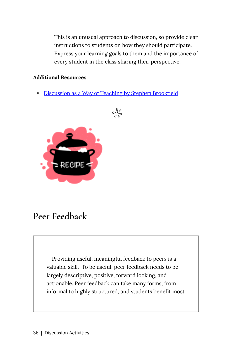This is an unusual approach to discussion, so provide clear instructions to students on how they should participate. Express your learning goals to them and the importance of every student in the class sharing their perspective.

#### **Additional Resources**

• [Discussion as a Way of Teaching by Stephen Brookfield](https://sites.temple.edu/bett/files/2014/01/Discussion_as_a_Way_of_Teaching1-copy.pdf)

 $\frac{1}{2}$ 



# **Peer Feedback**

Providing useful, meaningful feedback to peers is a valuable skill. To be useful, peer feedback needs to be largely descriptive, positive, forward looking, and actionable. Peer feedback can take many forms, from informal to highly structured, and students benefit most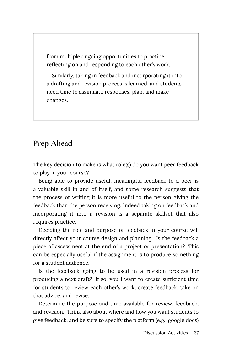from multiple ongoing opportunities to practice reflecting on and responding to each other's work.

Similarly, taking in feedback and incorporating it into a drafting and revision process is learned, and students need time to assimilate responses, plan, and make changes.

### **Prep Ahead**

The key decision to make is what role(s) do you want peer feedback to play in your course?

Being able to provide useful, meaningful feedback to a peer is a valuable skill in and of itself, and some research suggests that the process of writing it is more useful to the person giving the feedback than the person receiving. Indeed taking on feedback and incorporating it into a revision is a separate skillset that also requires practice.

Deciding the role and purpose of feedback in your course will directly affect your course design and planning. Is the feedback a piece of assessment at the end of a project or presentation? This can be especially useful if the assignment is to produce something for a student audience.

Is the feedback going to be used in a revision process for producing a next draft? If so, you'll want to create sufficient time for students to review each other's work, create feedback, take on that advice, and revise.

Determine the purpose and time available for review, feedback, and revision. Think also about where and how you want students to give feedback, and be sure to specify the platform (e.g., google docs)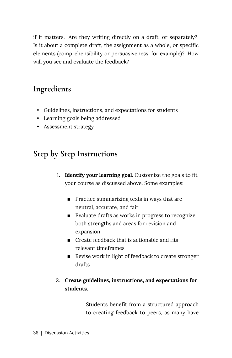if it matters. Are they writing directly on a draft, or separately? Is it about a complete draft, the assignment as a whole, or specific elements (comprehensibility or persuasiveness, for example)? How will you see and evaluate the feedback?

### **Ingredients**

- Guidelines, instructions, and expectations for students
- Learning goals being addressed
- Assessment strategy

### **Step by Step Instructions**

- 1. **Identify your learning goal.** Customize the goals to fit your course as discussed above. Some examples:
	- $\blacksquare$  Practice summarizing texts in ways that are neutral, accurate, and fair
	- Evaluate drafts as works in progress to recognize both strengths and areas for revision and expansion
	- $\blacksquare$  Create feedback that is actionable and fits relevant timeframes
	- Revise work in light of feedback to create stronger drafts

#### 2. **Create guidelines, instructions, and expectations for students.**

Students benefit from a structured approach to creating feedback to peers, as many have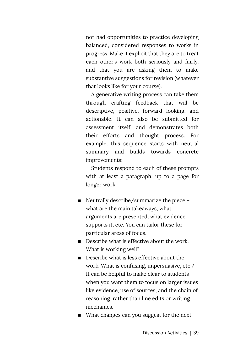not had opportunities to practice developing balanced, considered responses to works in progress. Make it explicit that they are to treat each other's work both seriously and fairly, and that you are asking them to make substantive suggestions for revision (whatever that looks like for your course).

A generative writing process can take them through crafting feedback that will be descriptive, positive, forward looking, and actionable. It can also be submitted for assessment itself, and demonstrates both their efforts and thought process. For example, this sequence starts with neutral summary and builds towards concrete improvements:

Students respond to each of these prompts with at least a paragraph, up to a page for longer work:

- Neutrally describe/summarize the piece what are the main takeaways, what arguments are presented, what evidence supports it, etc. You can tailor these for particular areas of focus.
- $\blacksquare$  Describe what is effective about the work. What is working well?
- Describe what is less effective about the work. What is confusing, unpersuasive, etc.? It can be helpful to make clear to students when you want them to focus on larger issues like evidence, use of sources, and the chain of reasoning, rather than line edits or writing mechanics.
- What changes can you suggest for the next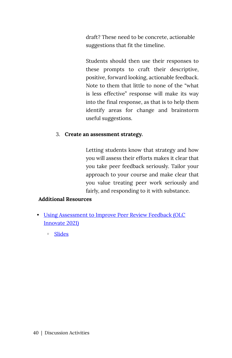draft? These need to be concrete, actionable suggestions that fit the timeline.

Students should then use their responses to these prompts to craft their descriptive, positive, forward looking, actionable feedback. Note to them that little to none of the "what is less effective" response will make its way into the final response, as that is to help them identify areas for change and brainstorm useful suggestions.

#### 3. **Create an assessment strategy.**

Letting students know that strategy and how you will assess their efforts makes it clear that you take peer feedback seriously. Tailor your approach to your course and make clear that you value treating peer work seriously and fairly, and responding to it with substance.

#### **Additional Resources**

- [Using Assessment to Improve Peer Review Feedback \(OLC](https://www.engagez.net/in21?&snshareid=sharecontent776182#lct=customlocation-Location1-776182) [Innovate 2021\)](https://www.engagez.net/in21?&snshareid=sharecontent776182#lct=customlocation-Location1-776182) 
	- [Slides](https://docs.google.com/presentation/d/1KXkbqTicKWekjts9w64qhm0sKug3gyMd7M4t5bGLTsI/edit#slide=id.gc6ec10665b_0_8)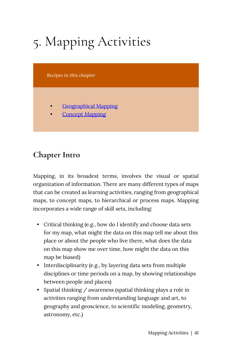# 5. Mapping Activities

*Recipes in this chapter* 

- [Geographical Mapping](#page-51-0)
- **Concept Mapping**

### **Chapter Intro**

Mapping, in its broadest terms, involves the visual or spatial organization of information. There are many different types of maps that can be created as learning activities, ranging from geographical maps, to concept maps, to hierarchical or process maps. Mapping incorporates a wide range of skill sets, including:

- Critical thinking (e.g., how do I identify and choose data sets for my map, what might the data on this map tell me about this place or about the people who live there, what does the data on this map show me over time, how might the data on this map be biased)
- Interdisciplinarity (e.g., by layering data sets from multiple disciplines or time periods on a map, by showing relationships between people and places)
- Spatial thinking / awareness (spatial thinking plays a role in activities ranging from understanding language and art, to geography and geoscience, to scientific modeling, geometry, astronomy, etc.)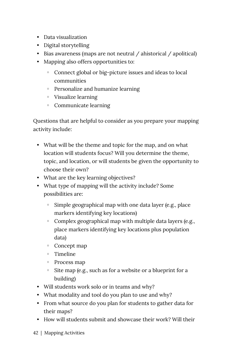- Data visualization
- Digital storytelling
- Bias awareness (maps are not neutral / ahistorical / apolitical)
- Mapping also offers opportunities to:
	- Connect global or big-picture issues and ideas to local communities
	- Personalize and humanize learning
	- Visualize learning
	- Communicate learning

Questions that are helpful to consider as you prepare your mapping activity include:

- What will be the theme and topic for the map, and on what location will students focus? Will you determine the theme, topic, and location, or will students be given the opportunity to choose their own?
- What are the key learning objectives?
- What type of mapping will the activity include? Some possibilities are:
	- Simple geographical map with one data layer (e.g., place markers identifying key locations)
	- Complex geographical map with multiple data layers (e.g., place markers identifying key locations plus population data)
	- Concept map
	- Timeline
	- Process map
	- Site map (e.g., such as for a website or a blueprint for a building)
- Will students work solo or in teams and why?
- What modality and tool do you plan to use and why?
- From what source do you plan for students to gather data for their maps?
- How will students submit and showcase their work? Will their
- 42 | Mapping Activities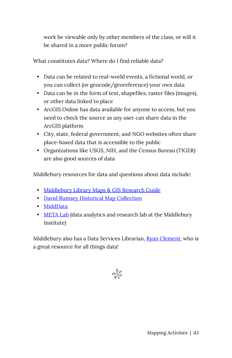work be viewable only by other members of the class, or will it be shared in a more public forum?

What constitutes data? Where do I find reliable data?

- Data can be related to real-world events, a fictional world, or you can collect (or geocode/georeference) your own data
- Data can be in the form of text, shapefiles, raster files (images), or other data linked to place
- ArcGIS Online has data available for anyone to access, but you need to check the source as any user can share data in the ArcGIS platform
- City, state, federal government, and NGO websites often share place-based data that is accessible to the public
- Organizations like USGS, NIH, and the Census Bureau (TIGER) are also good sources of data

Middlebury resources for data and questions about data include:

- [Middlebury Library Maps & GIS Research Guide](http://go.middlebury.edu/gisguide)
- [David Rumsey Historical Map Collection](https://www.davidrumsey.com/)
- [MiddData](https://www.middlebury.edu/office/midddata)
- [META Lab](https://sites.miis.edu/metalab/) (data analytics and research lab at the Middlebury Institute)

Middlebury also has a Data Services Librarian, [Ryan Clement](https://www.middlebury.edu/library/people/ryan-clement), who is a great resource for all things data!

 $\frac{1}{2}$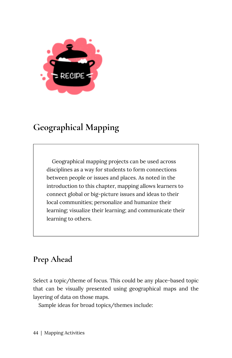

# <span id="page-51-0"></span>**Geographical Mapping**

Geographical mapping projects can be used across disciplines as a way for students to form connections between people or issues and places. As noted in the introduction to this chapter, mapping allows learners to connect global or big-picture issues and ideas to their local communities; personalize and humanize their learning; visualize their learning; and communicate their learning to others.

# **Prep Ahead**

Select a topic/theme of focus. This could be any place-based topic that can be visually presented using geographical maps and the layering of data on those maps.

Sample ideas for broad topics/themes include: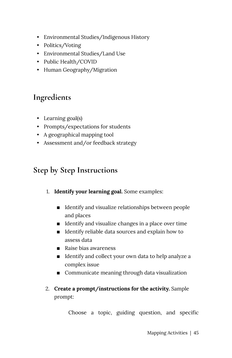- Environmental Studies/Indigenous History
- Politics/Voting
- Environmental Studies/Land Use
- Public Health/COVID
- Human Geography/Migration

# **Ingredients**

- Learning goal(s)
- Prompts/expectations for students
- A geographical mapping tool
- Assessment and/or feedback strategy

# **Step by Step Instructions**

- 1. **Identify your learning goal.** Some examples:
	- **IDENTIFY and visualize relationships between people** and places
	- **IDENTIFY** and visualize changes in a place over time
	- **IDENTIFY RELAKER IS A LOCAL EXPLORER I**D Identify reliable data sources and explain how to assess data
	- Raise bias awareness
	- Identify and collect your own data to help analyze a complex issue
	- Communicate meaning through data visualization
- 2. **Create a prompt/instructions for the activity.** Sample prompt:

Choose a topic, guiding question, and specific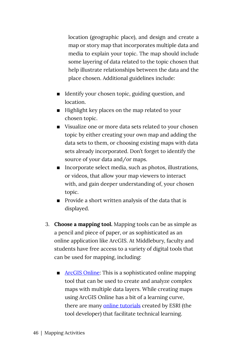location (geographic place), and design and create a map or story map that incorporates multiple data and media to explain your topic. The map should include some layering of data related to the topic chosen that help illustrate relationships between the data and the place chosen. Additional guidelines include:

- **IDENTIFY LOCAL THEORY IDENTIFY** Your chosen topic, guiding question, and location.
- Highlight key places on the map related to your chosen topic.
- Visualize one or more data sets related to your chosen topic by either creating your own map and adding the data sets to them, or choosing existing maps with data sets already incorporated. Don't forget to identify the source of your data and/or maps.
- Incorporate select media, such as photos, illustrations, or videos, that allow your map viewers to interact with, and gain deeper understanding of, your chosen topic.
- Provide a short written analysis of the data that is displayed.
- 3. **Choose a mapping tool.** Mapping tools can be as simple as a pencil and piece of paper, or as sophisticated as an online application like ArcGIS. At Middlebury, faculty and students have free access to a variety of digital tools that can be used for mapping, including:
	- [ArcGIS Online](https://www.arcgis.com/): This is a sophisticated online mapping tool that can be used to create and analyze complex maps with multiple data layers. While creating maps using ArcGIS Online has a bit of a learning curve, there are many [online tutorials](https://learn-arcgis-learngis.hub.arcgis.com/) created by ESRI (the tool developer) that facilitate technical learning.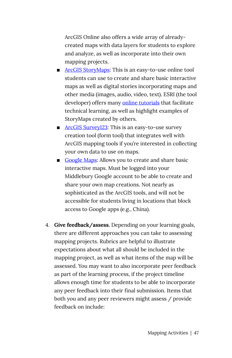ArcGIS Online also offers a wide array of alreadycreated maps with data layers for students to explore and analyze, as well as incorporate into their own mapping projects.

- **EXPARENE [ArcGIS StoryMaps](http://storymaps.arcgis.com/):** This is an easy-to-use online tool students can use to create and share basic interactive maps as well as digital stories incorporating maps and other media (images, audio, video, text). ESRI (the tool developer) offers many [online tutorials](https://www.esri.com/en-us/arcgis/products/arcgis-storymaps/resources) that facilitate technical learning, as well as highlight examples of StoryMaps created by others.
- [ArcGIS Survey123:](http://survey123.arcgis.com/) This is an easy-to-use survey creation tool (form tool) that integrates well with ArcGIS mapping tools if you're interested in collecting your own data to use on maps.
- [Google Maps](https://www.google.com/maps): Allows you to create and share basic interactive maps. Must be logged into your Middlebury Google account to be able to create and share your own map creations. Not nearly as sophisticated as the ArcGIS tools, and will not be accessible for students living in locations that block access to Google apps (e.g., China).
- 4. **Give feedback/assess.** Depending on your learning goals, there are different approaches you can take to assessing mapping projects. Rubrics are helpful to illustrate expectations about what all should be included in the mapping project, as well as what items of the map will be assessed. You may want to also incorporate peer feedback as part of the learning process, if the project timeline allows enough time for students to be able to incorporate any peer feedback into their final submission. Items that both you and any peer reviewers might assess / provide feedback on include: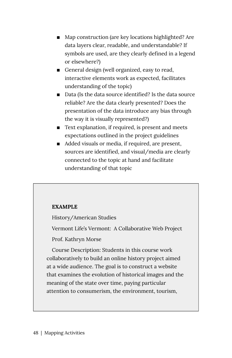- Map construction (are key locations highlighted? Are data layers clear, readable, and understandable? If symbols are used, are they clearly defined in a legend or elsewhere?)
- **EXECUTE:** General design (well organized, easy to read, interactive elements work as expected, facilitates understanding of the topic)
- Data (Is the data source identified? Is the data source reliable? Are the data clearly presented? Does the presentation of the data introduce any bias through the way it is visually represented?)
- Text explanation, if required, is present and meets expectations outlined in the project guidelines
- Added visuals or media, if required, are present, sources are identified, and visual/media are clearly connected to the topic at hand and facilitate understanding of that topic

#### **EXAMPLE**

History/American Studies

Vermont Life's Vermont: A Collaborative Web Project

Prof. Kathryn Morse

Course Description: Students in this course work collaboratively to build an online history project aimed at a wide audience. The goal is to construct a website that examines the evolution of historical images and the meaning of the state over time, paying particular attention to consumerism, the environment, tourism,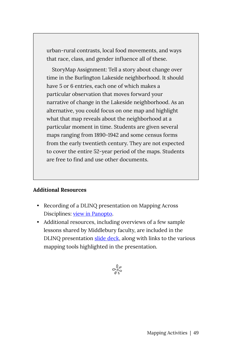urban-rural contrasts, local food movements, and ways that race, class, and gender influence all of these.

StoryMap Assignment: Tell a story about change over time in the Burlington Lakeside neighborhood. It should have 5 or 6 entries, each one of which makes a particular observation that moves forward your narrative of change in the Lakeside neighborhood. As an alternative, you could focus on one map and highlight what that map reveals about the neighborhood at a particular moment in time. Students are given several maps ranging from 1890-1942 and some census forms from the early twentieth century. They are not expected to cover the entire 52-year period of the maps. Students are free to find and use other documents.

#### **Additional Resources**

- Recording of a DLINQ presentation on Mapping Across Disciplines: [view in Panopto.](https://nam02.safelinks.protection.outlook.com/?url=https%3A%2F%2Fmidd.hosted.panopto.com%2FPanopto%2FPages%2FViewer.aspx%3Fid%3D8417ea82-378b-4c77-b591-ad0201588c54&data=04%7C01%7Cjhenrickson%40middlebury.edu%7C53e57135b1ec4b39146a08d8f9c2c30e%7Ca1bb0a191576421dbe93b3a7d4b6dcaa%7C1%7C0%7C637533962186269286%7CUnknown%7CTWFpbGZsb3d8eyJWIjoiMC4wLjAwMDAiLCJQIjoiV2luMzIiLCJBTiI6Ik1haWwiLCJXVCI6Mn0%3D%7C1000&sdata=Pi9nXgH4Qg5MF%2BAMR0fZSQ3G2r7tNRRfG3WcfFCBiHU%3D&reserved=0)
- Additional resources, including overviews of a few sample lessons shared by Middlebury faculty, are included in the DLINQ presentation [slide deck](https://nam02.safelinks.protection.outlook.com/?url=https%3A%2F%2Fdocs.google.com%2Fpresentation%2Fd%2F1qPw6y-1r5sUlWgpEdLc3jb4EwzMnNs5V3YwFp1dsPDU%2Fedit%3Fusp%3Dsharing&data=04%7C01%7Cjhenrickson%40middlebury.edu%7C53e57135b1ec4b39146a08d8f9c2c30e%7Ca1bb0a191576421dbe93b3a7d4b6dcaa%7C1%7C0%7C637533962186269286%7CUnknown%7CTWFpbGZsb3d8eyJWIjoiMC4wLjAwMDAiLCJQIjoiV2luMzIiLCJBTiI6Ik1haWwiLCJXVCI6Mn0%3D%7C1000&sdata=%2BPYphSf88UiMvUuWKcqCZ6BQi7XegZFS3WikM%2F%2BCFgc%3D&reserved=0), along with links to the various mapping tools highlighted in the presentation.

$$
\mathcal{S}^{\mathbb{Q}^\mathcal{O}}_{\mathbb{Q}^\mathcal{O}}
$$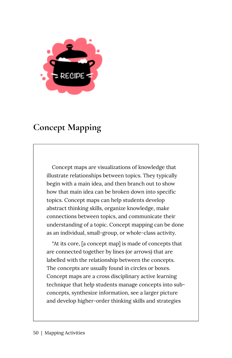

# <span id="page-57-0"></span>**Concept Mapping**

Concept maps are visualizations of knowledge that illustrate relationships between topics. They typically begin with a main idea, and then branch out to show how that main idea can be broken down into specific topics. Concept maps can help students develop abstract thinking skills, organize knowledge, make connections between topics, and communicate their understanding of a topic. Concept mapping can be done as an individual, small-group, or whole-class activity.

"At its core, [a concept map] is made of concepts that are connected together by lines (or arrows) that are labelled with the relationship between the concepts. The concepts are usually found in circles or boxes. Concept maps are a cross disciplinary active learning technique that help students manage concepts into subconcepts, synthesize information, see a larger picture and develop higher-order thinking skills and strategies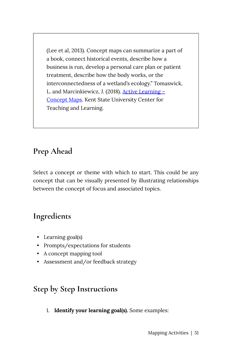(Lee et al, 2013). Concept maps can summarize a part of a book, connect historical events, describe how a business is run, develop a personal care plan or patient treatment, describe how the body works, or the interconnectedness of a wetland's ecology." Tomaswick, L. and Marcinkiewicz, J. (2018). [Active Learning –](https://www.kent.edu/ctl/teaching-tools%E2%80%94concept-maps)  [Concept Maps.](https://www.kent.edu/ctl/teaching-tools%E2%80%94concept-maps) Kent State University Center for Teaching and Learning.

# **Prep Ahead**

Select a concept or theme with which to start. This could be any concept that can be visually presented by illustrating relationships between the concept of focus and associated topics.

# **Ingredients**

- Learning goal(s)
- Prompts/expectations for students
- A concept mapping tool
- Assessment and/or feedback strategy

### **Step by Step Instructions**

1. **Identify your learning goal(s).** Some examples: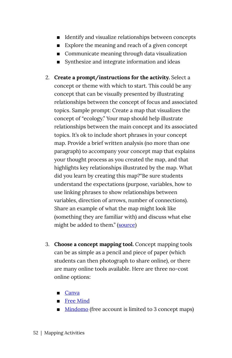- **IDENTIFY And visualize relationships between concepts**
- Explore the meaning and reach of a given concept
- Communicate meaning through data visualization
- Synthesize and integrate information and ideas
- 2. **Create a prompt/instructions for the activity.** Select a concept or theme with which to start. This could be any concept that can be visually presented by illustrating relationships between the concept of focus and associated topics. Sample prompt: Create a map that visualizes the concept of "ecology." Your map should help illustrate relationships between the main concept and its associated topics. It's ok to include short phrases in your concept map. Provide a brief written analysis (no more than one paragraph) to accompany your concept map that explains your thought process as you created the map, and that highlights key relationships illustrated by the map. What did you learn by creating this map?"Be sure students understand the expectations (purpose, variables, how to use linking phrases to show relationships between variables, direction of arrows, number of connections). Share an example of what the map might look like (something they are familiar with) and discuss what else might be added to them." [\(source\)](https://www.kent.edu/ctl/teaching-tools%E2%80%94concept-maps)
- 3. **Choose a concept mapping tool.** Concept mapping tools can be as simple as a pencil and piece of paper (which students can then photograph to share online), or there are many online tools available. Here are three no-cost online options:
	- [Canva](https://www.canva.com/graphs/mind-maps/)
	- [Free Mind](http://freemind.sourceforge.net/wiki/index.php/Main_Page)
	- [Mindomo](https://www.mindomo.com/) (free account is limited to 3 concept maps)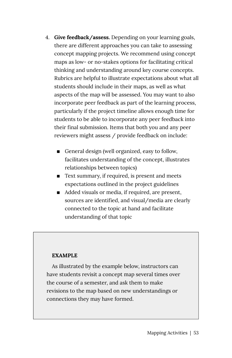- 4. **Give feedback/assess.** Depending on your learning goals, there are different approaches you can take to assessing concept mapping projects. We recommend using concept maps as low- or no-stakes options for facilitating critical thinking and understanding around key course concepts. Rubrics are helpful to illustrate expectations about what all students should include in their maps, as well as what aspects of the map will be assessed. You may want to also incorporate peer feedback as part of the learning process, particularly if the project timeline allows enough time for students to be able to incorporate any peer feedback into their final submission. Items that both you and any peer reviewers might assess / provide feedback on include:
	- General design (well organized, easy to follow, facilitates understanding of the concept, illustrates relationships between topics)
	- Text summary, if required, is present and meets expectations outlined in the project guidelines
	- Added visuals or media, if required, are present, sources are identified, and visual/media are clearly connected to the topic at hand and facilitate understanding of that topic

#### **EXAMPLE**

As illustrated by the example below, instructors can have students revisit a concept map several times over the course of a semester, and ask them to make revisions to the map based on new understandings or connections they may have formed.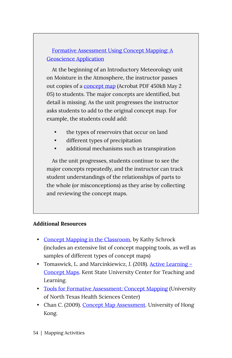[Formative Assessment Using Concept Mapping: A](https://serc.carleton.edu/introgeo/assessment/conceptmaps.html) [Geoscience Application](https://serc.carleton.edu/introgeo/assessment/conceptmaps.html) 

At the beginning of an Introductory Meteorology unit on Moisture in the Atmosphere, the instructor passes out copies of a [concept map](https://d32ogoqmya1dw8.cloudfront.net/files/introgeo/assessment/Water.pdf) (Acrobat PDF 450kB May 2 05) to students. The major concepts are identified, but detail is missing. As the unit progresses the instructor asks students to add to the original concept map. For example, the students could add:

- the types of reservoirs that occur on land
- different types of precipitation
- additional mechanisms such as transpiration

As the unit progresses, students continue to see the major concepts repeatedly, and the instructor can track student understandings of the relationships of parts to the whole (or misconceptions) as they arise by collecting and reviewing the concept maps.

#### **Additional Resources**

- [Concept Mapping in the Classroom](https://www.schrockguide.net/concept-mapping.html), by Kathy Schrock (includes an extensive list of concept mapping tools, as well as samples of different types of concept maps)
- Tomaswick, L. and Marcinkiewicz, J. (2018). Active Learning [Concept Maps](https://www.kent.edu/ctl/teaching-tools%E2%80%94concept-maps). Kent State University Center for Teaching and Learning.
- [Tools for Formative Assessment: Concept Mapping](https://www.unthsc.edu/center-for-innovative-learning/concept-mapping/) (University of North Texas Health Sciences Center)
- Chan C. (2009). [Concept Map Assessment](https://ar.cetl.hku.hk/am_cm.htm). University of Hong Kong.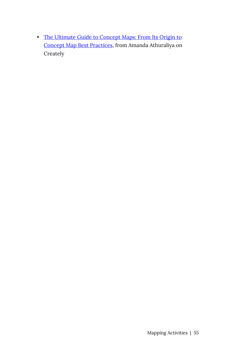• [The Ultimate Guide to Concept Maps: From Its Origin to](https://creately.com/blog/diagrams/ultimate-concept-map-tutorial/) [Concept Map Best Practices](https://creately.com/blog/diagrams/ultimate-concept-map-tutorial/), from Amanda Athuraliya on Creately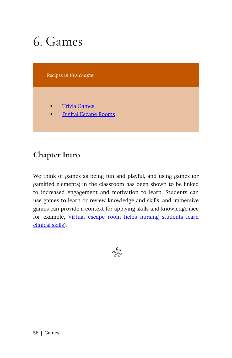# 6. Games

*Recipes in this chapter* 

- **[Trivia Games](#page-64-0)**
- [Digital Escape Rooms](#page-68-0)

### **Chapter Intro**

We think of games as being fun and playful, and using games (or gamified elements) in the classroom has been shown to be linked to increased engagement and motivation to learn. Students can use games to learn or review knowledge and skills, and immersive games can provide a context for applying skills and knowledge (see for example, [Virtual escape room helps nursing students learn](https://news.osu.edu/virtual-escape-room-helps-nursing-students-learn-clinical-skills/) [clinical skills](https://news.osu.edu/virtual-escape-room-helps-nursing-students-learn-clinical-skills/)).

 $\frac{1}{2}$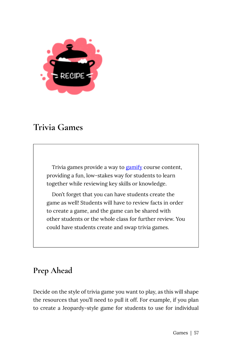

### <span id="page-64-0"></span>**Trivia Games**

Trivia games provide a way to [gamify](https://uwaterloo.ca/centre-for-teaching-excellence/teaching-resources/teaching-tips/educational-technologies/all/gamification-and-game-based-learning) course content, providing a fun, low-stakes way for students to learn together while reviewing key skills or knowledge.

Don't forget that you can have students create the game as well! Students will have to review facts in order to create a game, and the game can be shared with other students or the whole class for further review. You could have students create and swap trivia games.

# **Prep Ahead**

Decide on the style of trivia game you want to play, as this will shape the resources that you'll need to pull it off. For example, if you plan to create a Jeopardy-style game for students to use for individual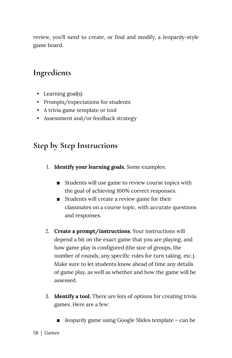review, you'll need to create, or find and modify, a Jeopardy-style game board.

### **Ingredients**

- Learning goal(s)
- Prompts/expectations for students
- A trivia game template or tool
- Assessment and/or feedback strategy

### **Step by Step Instructions**

- 1. **Identify your learning goals.** Some examples:
	- Students will use game to review course topics with the goal of achieving 100% correct responses.
	- Students will create a review game for their classmates on a course topic, with accurate questions and responses.
- 2. **Create a prompt/instructions.** Your instructions will depend a bit on the exact game that you are playing, and how game play is configured (the size of groups, the number of rounds, any specific rules for turn taking, etc.). Make sure to let students know ahead of time any details of game play, as well as whether and how the game will be assessed.
- 3. **Identify a tool.** There are lots of options for creating trivia games. Here are a few:
	- $\blacksquare$  Jeopardy game using Google Slides template can be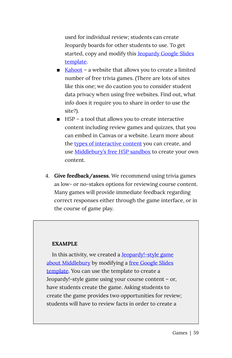used for individual review; students can create Jeopardy boards for other students to use. To get started, copy and modify this **Jeopardy Google Slides** [template.](https://docs.google.com/presentation/d/1N_5IbXUY3y2PCuhFQ0YA7ZuREwC7ew1Q3fyILBnEBQA/edit#slide=id.p)

- $\blacksquare$  [Kahoot](https://kahoot.com/) a website that allows you to create a limited number of free trivia games. (There are lots of sites like this one; we do caution you to consider student data privacy when using free websites. Find out, what info does it require you to share in order to use the site?).
- H5P a tool that allows you to create interactive content including review games and quizzes, that you can embed in Canvas or a website. Learn more about the [types of interactive content](https://h5p.org/content-types-and-applications) you can create, and use [Middlebury's free H5P sandbox](https://h5p.middcreate.net/) to create your own content.
- 4. **Give feedback/assess.** We recommend using trivia games as low- or no-stakes options for reviewing course content. Many games will provide immediate feedback regarding correct responses either through the game interface, or in the course of game play.

#### **EXAMPLE**

In this activity, we created a [Jeopardy!-style game](https://docs.google.com/presentation/d/1h6wvPVfAdSCpvaTQbIASUy9m9KEe-Gj-_S9YjXknaWc/edit?usp=sharing) [about Middlebury](https://docs.google.com/presentation/d/1h6wvPVfAdSCpvaTQbIASUy9m9KEe-Gj-_S9YjXknaWc/edit?usp=sharing) by modifying a [free Google Slides](https://docs.google.com/presentation/d/1N_5IbXUY3y2PCuhFQ0YA7ZuREwC7ew1Q3fyILBnEBQA/edit#slide=id.p) [template.](https://docs.google.com/presentation/d/1N_5IbXUY3y2PCuhFQ0YA7ZuREwC7ew1Q3fyILBnEBQA/edit#slide=id.p) You can use the template to create a Jeopardy!-style game using your course content – or, have students create the game. Asking students to create the game provides two opportunities for review; students will have to review facts in order to create a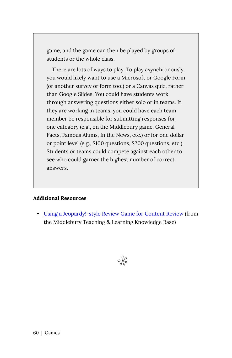game, and the game can then be played by groups of students or the whole class.

There are lots of ways to play. To play asynchronously, you would likely want to use a Microsoft or Google Form (or another survey or form tool) or a Canvas quiz, rather than Google Slides. You could have students work through answering questions either solo or in teams. If they are working in teams, you could have each team member be responsible for submitting responses for one category (e.g., on the Middlebury game, General Facts, Famous Alums, In the News, etc.) or for one dollar or point level (e.g., \$100 questions, \$200 questions, etc.). Students or teams could compete against each other to see who could garner the highest number of correct answers.

#### **Additional Resources**

• [Using a Jeopardy!-style Review Game for Content Review](https://tlkb.middcreate.net/thing/using-a-jeopardy-style-review-game-for-content-review/) (from the Middlebury Teaching & Learning Knowledge Base)

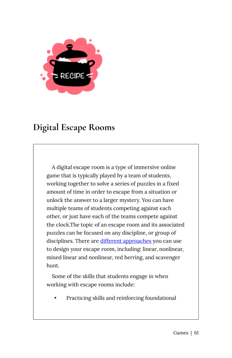

# <span id="page-68-0"></span>**Digital Escape Rooms**

A digital escape room is a type of immersive online game that is typically played by a team of students, working together to solve a series of puzzles in a fixed amount of time in order to escape from a situation or unlock the answer to a larger mystery. You can have multiple teams of students competing against each other, or just have each of the teams compete against the clock.The topic of an escape room and its associated puzzles can be focused on any discipline, or group of disciplines. There are [different approaches](https://exitstrategygames.com/top-5-types-of-escape-rooms-youll-play/) you can use to design your escape room, including: linear, nonlinear, mixed linear and nonlinear, red herring, and scavenger hunt.

Some of the skills that students engage in when working with escape rooms include:

• Practicing skills and reinforcing foundational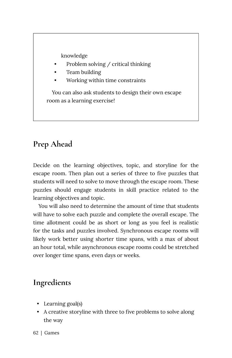knowledge

- Problem solving / critical thinking
- Team building
- Working within time constraints

You can also ask students to design their own escape room as a learning exercise!

### **Prep Ahead**

Decide on the learning objectives, topic, and storyline for the escape room. Then plan out a series of three to five puzzles that students will need to solve to move through the escape room. These puzzles should engage students in skill practice related to the learning objectives and topic.

You will also need to determine the amount of time that students will have to solve each puzzle and complete the overall escape. The time allotment could be as short or long as you feel is realistic for the tasks and puzzles involved. Synchronous escape rooms will likely work better using shorter time spans, with a max of about an hour total, while asynchronous escape rooms could be stretched over longer time spans, even days or weeks.

### **Ingredients**

- Learning goal(s)
- A creative storyline with three to five problems to solve along the way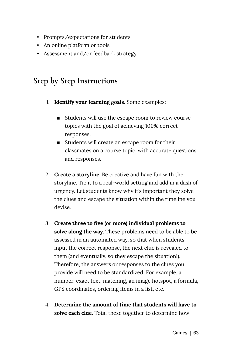- Prompts/expectations for students
- An online platform or tools
- Assessment and/or feedback strategy

### **Step by Step Instructions**

- 1. **Identify your learning goals.** Some examples:
	- Students will use the escape room to review course topics with the goal of achieving 100% correct responses.
	- Students will create an escape room for their classmates on a course topic, with accurate questions and responses.
- 2. **Create a storyline.** Be creative and have fun with the storyline. Tie it to a real-world setting and add in a dash of urgency. Let students know why it's important they solve the clues and escape the situation within the timeline you devise.
- 3. **Create three to five (or more) individual problems to solve along the way.** These problems need to be able to be assessed in an automated way, so that when students input the correct response, the next clue is revealed to them (and eventually, so they escape the situation!). Therefore, the answers or responses to the clues you provide will need to be standardized. For example, a number, exact text, matching, an image hotspot, a formula, GPS coordinates, ordering items in a list, etc.
- 4. **Determine the amount of time that students will have to solve each clue.** Total these together to determine how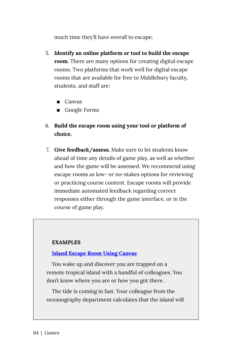much time they'll have overall to escape.

- 5. **Identify an online platform or tool to build the escape room.** There are many options for creating digital escape rooms. Two platforms that work well for digital escape rooms that are available for free to Middlebury faculty, students, and staff are:
	- Canvas
	- Google Forms
- 6. **Build the escape room using your tool or platform of choice.**
- 7. **Give feedback/assess.** Make sure to let students know ahead of time any details of game play, as well as whether and how the game will be assessed. We recommend using escape rooms as low- or no-stakes options for reviewing or practicing course content. Escape rooms will provide immediate automated feedback regarding correct responses either through the game interface, or in the course of game play.

#### **EXAMPLES**

#### **[Island Escape Room Using Canvas](https://middlebury.instructure.com/courses/8351)**

You wake up and discover you are trapped on a remote tropical island with a handful of colleagues. You don't know where you are or how you got there.

The tide is coming in fast. Your colleague from the oceanography department calculates that the island will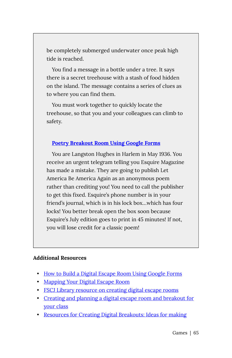be completely submerged underwater once peak high tide is reached.

You find a message in a bottle under a tree. It says there is a secret treehouse with a stash of food hidden on the island. The message contains a series of clues as to where you can find them.

You must work together to quickly locate the treehouse, so that you and your colleagues can climb to safety.

#### **[Poetry Breakout Room Using Google Forms](https://sites.google.com/site/7thpoetryreview/)**

You are Langston Hughes in Harlem in May 1936. You receive an urgent telegram telling you Esquire Magazine has made a mistake. They are going to publish Let America Be America Again as an anonymous poem rather than crediting you! You need to call the publisher to get this fixed. Esquire's phone number is in your friend's journal, which is in his lock box…which has four locks! You better break open the box soon because Esquire's July edition goes to print in 45 minutes! If not, you will lose credit for a classic poem!

#### **Additional Resources**

- [How to Build a Digital Escape Room Using Google Forms](https://www.bespokeclassroom.com/blog/2019/10/4/how-to-build-a-digital-escape-room-using-google-forms)
- [Mapping Your Digital Escape Room](https://docs.google.com/presentation/d/1VCrt_owzucQWZvodDIfbzEfKJNtziUzXzbAZl5q7JFQ/edit#slide=id.g2a08d13879_0_102)
- FSCJ Library resource on creating digital escape rooms
- [Creating and planning a digital escape room and breakout for](https://www.englishohmy.com/creating-and-planning-digital-escape/)  [your class](https://www.englishohmy.com/creating-and-planning-digital-escape/)
- [Resources for Creating Digital Breakouts: Ideas for making](https://www.theliterarymaven.com/2017/04/breakout-digital-escape-room-ideas.html)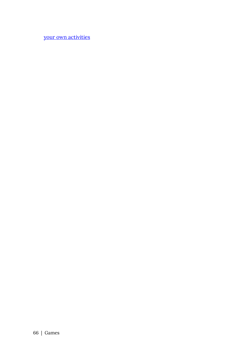[your own activities](https://www.theliterarymaven.com/2017/04/breakout-digital-escape-room-ideas.html)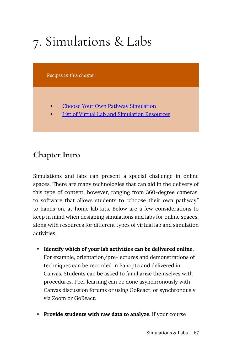# 7. Simulations & Labs

*Recipes in this chapter* 

- Choose Your Own Pathway Simulation
- List of Virtual Lab and Simulation Resources

## **Chapter Intro**

Simulations and labs can present a special challenge in online spaces. There are many technologies that can aid in the delivery of this type of content, however, ranging from 360-degree cameras, to software that allows students to "choose their own pathway," to hands-on, at-home lab kits. Below are a few considerations to keep in mind when designing simulations and labs for online spaces, along with resources for different types of virtual lab and simulation activities.

- **Identify which of your lab activities can be delivered online.**  For example, orientation/pre-lectures and demonstrations of techniques can be recorded in Panopto and delivered in Canvas. Students can be asked to familiarize themselves with procedures. Peer learning can be done asynchronously with Canvas discussion forums or using GoReact, or synchronously via Zoom or GoReact.
- **Provide students with raw data to analyze.** If your course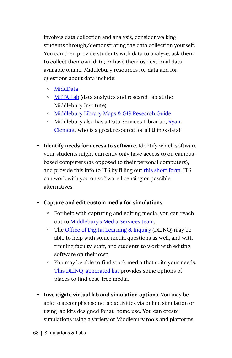involves data collection and analysis, consider walking students through/demonstrating the data collection yourself. You can then provide students with data to analyze; ask them to collect their own data; or have them use external data available online. Middlebury resources for data and for questions about data include:

- [MiddData](https://www.middlebury.edu/office/midddata)
- [META Lab](https://sites.miis.edu/metalab/) (data analytics and research lab at the Middlebury Institute)
- [Middlebury Library Maps & GIS Research Guide](http://go.middlebury.edu/gisguide)
- Middlebury also has a Data Services Librarian, [Ryan](https://www.middlebury.edu/library/people/ryan-clement)  [Clement](https://www.middlebury.edu/library/people/ryan-clement), who is a great resource for all things data!
- **Identify needs for access to software.** Identify which software your students might currently only have access to on campusbased computers (as opposed to their personal computers), and provide this info to ITS by filling out [this short form](https://docs.google.com/forms/d/e/1FAIpQLSdjsb__WjhJJkp0mCEvtMmbRpXox8sWW3Ou6Ac-pq48G7LlIA/viewform?usp=sf_link). ITS can work with you on software licensing or possible alternatives.
- **Capture and edit custom media for simulations.** 
	- For help with capturing and editing media, you can reach out to [Middlebury's Media Services team.](https://www.middlebury.edu/office/information-technology-services/requests/media-services)
	- The [Office of Digital Learning & Inquiry](https://dlinq.middcreate.net/request-a-dlinq-consultation/) (DLINQ) may be able to help with some media questions as well, and with training faculty, staff, and students to work with editing software on their own.
	- You may be able to find stock media that suits your needs. [This DLINQ-generated list](https://docs.google.com/document/d/1SRS-a4RjnK2tlTtBbmatWvpEkjeQWP_gZHQe_-H1AkM/edit?usp=sharing) provides some options of places to find cost-free media.
- **Investigate virtual lab and simulation options.** You may be able to accomplish some lab activities via online simulation or using lab kits designed for at-home use. You can create simulations using a variety of Middlebury tools and platforms,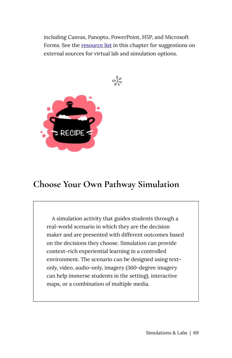including Canvas, Panopto, PowerPoint, H5P, and Microsoft Forms. See the resource list in this chapter for suggestions on external sources for virtual lab and simulation options.

 $\frac{1}{2}$ 



### <span id="page-76-0"></span>**Choose Your Own Pathway Simulation**

A simulation activity that guides students through a real-world scenario in which they are the decision maker and are presented with different outcomes based on the decisions they choose. Simulation can provide context-rich experiential learning in a controlled environment. The scenario can be designed using textonly, video, audio-only, imagery (360-degree imagery can help immerse students in the setting), interactive maps, or a combination of multiple media.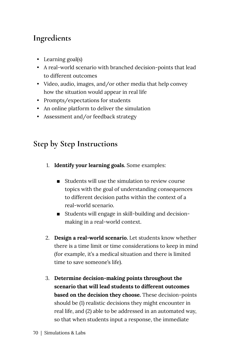# **Ingredients**

- Learning goal(s)
- A real-world scenario with branched decision-points that lead to different outcomes
- Video, audio, images, and/or other media that help convey how the situation would appear in real life
- Prompts/expectations for students
- An online platform to deliver the simulation
- Assessment and/or feedback strategy

### **Step by Step Instructions**

- 1. **Identify your learning goals.** Some examples:
	- $\blacksquare$  Students will use the simulation to review course topics with the goal of understanding consequences to different decision paths within the context of a real-world scenario.
	- Students will engage in skill-building and decisionmaking in a real-world context.
- 2. **Design a real-world scenario.** Let students know whether there is a time limit or time considerations to keep in mind (for example, it's a medical situation and there is limited time to save someone's life).
- 3. **Determine decision-making points throughout the scenario that will lead students to different outcomes based on the decision they choose.** These decision-points should be (1) realistic decisions they might encounter in real life, and (2) able to be addressed in an automated way, so that when students input a response, the immediate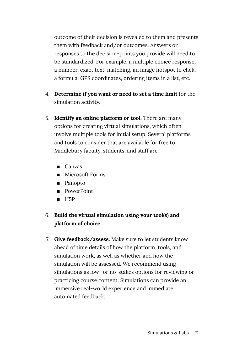outcome of their decision is revealed to them and presents them with feedback and/or outcomes. Answers or responses to the decision-points you provide will need to be standardized. For example, a multiple choice response, a number, exact text, matching, an image hotspot to click, a formula, GPS coordinates, ordering items in a list, etc.

- 4. **Determine if you want or need to set a time limit** for the simulation activity.
- 5. **Identify an online platform or tool.** There are many options for creating virtual simulations, which often involve multiple tools for initial setup. Several platforms and tools to consider that are available for free to Middlebury faculty, students, and staff are:
	- Canvas
	- Microsoft Forms
	- Panopto
	- PowerPoint
	- $B = H5P$

#### 6. **Build the virtual simulation using your tool(s) and platform of choice**.

7. **Give feedback/assess.** Make sure to let students know ahead of time details of how the platform, tools, and simulation work, as well as whether and how the simulation will be assessed. We recommend using simulations as low- or no-stakes options for reviewing or practicing course content. Simulations can provide an immersive real-world experience and immediate automated feedback.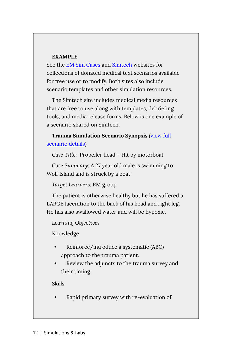#### **EXAMPLE**

See the [EM Sim Cases](https://emsimcases.com/) and [Simtech](http://www.thesimtech.org/scenarios/) websites for collections of donated medical text scenarios available for free use or to modify. Both sites also include scenario templates and other simulation resources.

The Simtech site includes medical media resources that are free to use along with templates, debriefing tools, and media release forms. Below is one example of a scenario shared on Simtech.

**Trauma Simulation Scenario Synopsis** [\(view full](http://www.thesimtech.org/s/Head-Trauma-Hit-by-Motorboat-Tim-Chaplin-Alison-Archibald.doc)  [scenario details](http://www.thesimtech.org/s/Head-Trauma-Hit-by-Motorboat-Tim-Chaplin-Alison-Archibald.doc))

*Case Title:* Propeller head – Hit by motorboat

*Case Summary:* A 27 year old male is swimming to Wolf Island and is struck by a boat

*Target Learners:* EM group

The patient is otherwise healthy but he has suffered a LARGE laceration to the back of his head and right leg. He has also swallowed water and will be hypoxic.

*Learning Objectives* 

Knowledge

- Reinforce/introduce a systematic (ABC) approach to the trauma patient.
- Review the adjuncts to the trauma survey and their timing.

Skills

• Rapid primary survey with re-evaluation of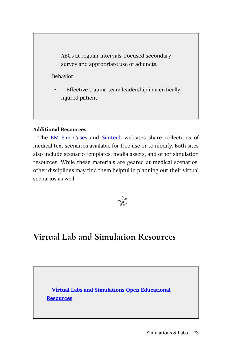ABCs at regular intervals. Focused secondary survey and appropriate use of adjuncts.

Behavior:

Effective trauma team leadership in a critically injured patient.

#### **Additional Resources**

The **[EM Sim Cases](https://emsimcases.com/) and [Simtech](http://www.thesimtech.org/scenarios/)** websites share collections of medical text scenarios available for free use or to modify. Both sites also include scenario templates, media assets, and other simulation resources. While these materials are geared at medical scenarios, other disciplines may find them helpful in planning out their virtual scenarios as well.



# **Virtual Lab and Simulation Resources**

**[Virtual Labs and Simulations Open Educational](https://libguides.mines.edu/oer/simulationslabs) [Resources](https://libguides.mines.edu/oer/simulationslabs)**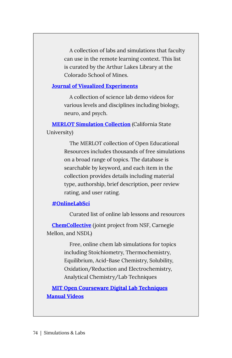A collection of labs and simulations that faculty can use in the remote learning context. This list is curated by the Arthur Lakes Library at the Colorado School of Mines.

#### **[Journal of Visualized Experiments](https://go.middlebury.edu/jove/)**

A collection of science lab demo videos for various levels and disciplines including biology, neuro, and psych.

**[MERLOT Simulation Collection](http://www.merlot.org/merlot/materials.htm?hasAwards=false&hasComments=false&hasCourses=false&filterTypesOpen=false&dateRange=0&hasEtextReviews=false&hasPeerReviews=false&fromContentBuilderSawDialog=false&audience=4,5,6&materialType=17&isLeadershipLibrary=false&hasCollections=false&filterOtherOpen=false&modifiedDays=7&isContentBuilder=false&filterSubjectsOpen=true&hasAccessibilityForm=false&hasAssignments=false&filterPartnerAffiliationsOpen=true&hasRatings=false&hasSercActivitySheets=false&days=7&filterMobileOpen=false&modifiedDateRange=0&hasEditorReviews=false&page=1)** (California State University)

> The MERLOT collection of Open Educational Resources includes thousands of free simulations on a broad range of topics. The database is searchable by keyword, and each item in the collection provides details including material type, authorship, brief description, peer review rating, and user rating.

#### **[#OnlineLabSci](https://onlinelabsci.keeganslw.com/lessons.html)**

Curated list of online lab lessons and resources

**[ChemCollective](http://chemcollective.org/vlabs)** (joint project from NSF, Carnegie Mellon, and NSDL)

> Free, online chem lab simulations for topics including Stoichiometry, Thermochemistry, Equilibrium, Acid-Base Chemistry, Solubility, Oxidation/Reduction and Electrochemistry, Analytical Chemistry/Lab Techniques

**[MIT Open Courseware Digital Lab Techniques](https://ocw.mit.edu/resources/res-5-0001-digital-lab-techniques-manual-spring-2007/videos/) [Manual Videos](https://ocw.mit.edu/resources/res-5-0001-digital-lab-techniques-manual-spring-2007/videos/)**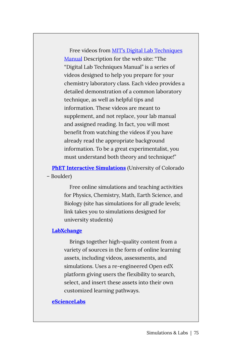Free videos from [MIT's Digital Lab Techniques](https://ocw.mit.edu/resources/res-5-0001-digital-lab-techniques-manual-spring-2007/index.htm)  [Manual](https://ocw.mit.edu/resources/res-5-0001-digital-lab-techniques-manual-spring-2007/index.htm) Description for the web site: "The "Digital Lab Techniques Manual" is a series of videos designed to help you prepare for your chemistry laboratory class. Each video provides a detailed demonstration of a common laboratory technique, as well as helpful tips and information. These videos are meant to supplement, and not replace, your lab manual and assigned reading. In fact, you will most benefit from watching the videos if you have already read the appropriate background information. To be a great experimentalist, you must understand both theory and technique!"

**[PhET Interactive Simulations](https://phet.colorado.edu/en/simulations/category/by-level/university)** (University of Colorado – Boulder)

> Free online simulations and teaching activities for Physics, Chemistry, Math, Earth Science, and Biology (site has simulations for all grade levels; link takes you to simulations designed for university students)

#### **[LabXchange](https://www.labxchange.org/explore)**

Brings together high-quality content from a variety of sources in the form of online learning assets, including videos, assessments, and simulations. Uses a re-engineered Open edX platform giving users the flexibility to search, select, and insert these assets into their own customized learning pathways.

#### **[eScienceLabs](https://esciencelabs.com/)**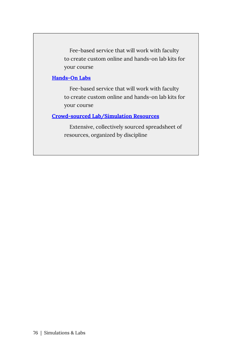Fee-based service that will work with faculty to create custom online and hands-on lab kits for your course

#### **[Hands-On Labs](https://www.holscience.com/lab-kits/)**

Fee-based service that will work with faculty to create custom online and hands-on lab kits for your course

#### **[Crowd-sourced Lab/Simulation Resources](https://docs.google.com/spreadsheets/u/1/d/1bxr2rylK9zUWh0KZCTv9r8ZRcm9QON3P7yLXfJMxmnU/htmlview)**

Extensive, collectively sourced spreadsheet of resources, organized by discipline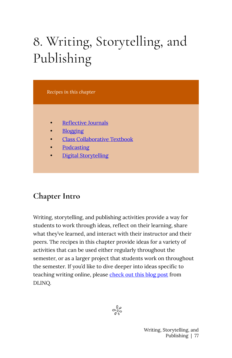# 8. Writing, Storytelling, and Publishing

*Recipes in this chapter* 

- [Reflective Journals](#page-85-0)
- **Blogging**
- [Class Collaborative Textbook](#page-94-0)
- **[Podcasting](#page-99-0)**
- [Digital Storytelling](#page-105-0)

### **Chapter Intro**

Writing, storytelling, and publishing activities provide a way for students to work through ideas, reflect on their learning, share what they've learned, and interact with their instructor and their peers. The recipes in this chapter provide ideas for a variety of activities that can be used either regularly throughout the semester, or as a larger project that students work on throughout the semester. If you'd like to dive deeper into ideas specific to teaching writing online, please [check out this blog post](https://dlinq.middcreate.net/dlinq-news/teaching-writing-online/) from DLINQ.



Writing, Storytelling, and Publishing | 77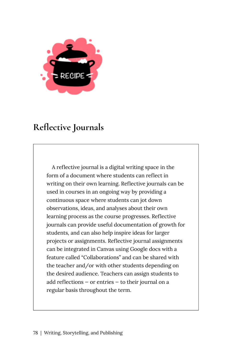

# <span id="page-85-0"></span>**Reflective Journals**

A reflective journal is a digital writing space in the form of a document where students can reflect in writing on their own learning. Reflective journals can be used in courses in an ongoing way by providing a continuous space where students can jot down observations, ideas, and analyses about their own learning process as the course progresses. Reflective journals can provide useful documentation of growth for students, and can also help inspire ideas for larger projects or assignments. Reflective journal assignments can be integrated in Canvas using Google docs with a feature called "Collaborations" and can be shared with the teacher and/or with other students depending on the desired audience. Teachers can assign students to add reflections — or entries — to their journal on a regular basis throughout the term.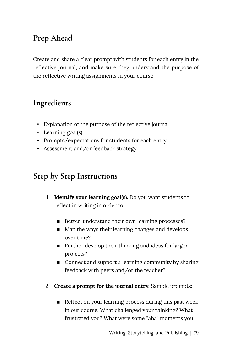# **Prep Ahead**

Create and share a clear prompt with students for each entry in the reflective journal, and make sure they understand the purpose of the reflective writing assignments in your course.

### **Ingredients**

- Explanation of the purpose of the reflective journal
- Learning goal(s)
- Prompts/expectations for students for each entry
- Assessment and/or feedback strategy

### **Step by Step Instructions**

- 1. **Identify your learning goal(s).** Do you want students to reflect in writing in order to:
	- Better-understand their own learning processes?
	- Map the ways their learning changes and develops over time?
	- Further develop their thinking and ideas for larger projects?
	- Connect and support a learning community by sharing feedback with peers and/or the teacher?
- 2. **Create a prompt for the journal entry.** Sample prompts:
	- **Example 1** Reflect on your learning process during this past week in our course. What challenged your thinking? What frustrated you? What were some "aha" moments you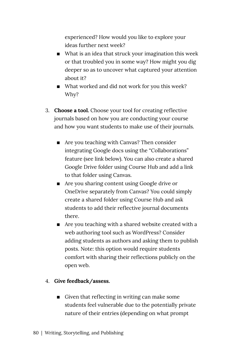experienced? How would you like to explore your ideas further next week?

- $\blacksquare$  What is an idea that struck your imagination this week or that troubled you in some way? How might you dig deeper so as to uncover what captured your attention about it?
- What worked and did not work for you this week? Why?
- 3. **Choose a tool.** Choose your tool for creating reflective journals based on how you are conducting your course and how you want students to make use of their journals.
	- Are you teaching with Canvas? Then consider integrating Google docs using the "Collaborations" feature (see link below). You can also create a shared Google Drive folder using Course Hub and add a link to that folder using Canvas.
	- Are you sharing content using Google drive or OneDrive separately from Canvas? You could simply create a shared folder using Course Hub and ask students to add their reflective journal documents there.
	- $\blacksquare$  Are you teaching with a shared website created with a web authoring tool such as WordPress? Consider adding students as authors and asking them to publish posts. Note: this option would require students comfort with sharing their reflections publicly on the open web.

#### 4. **Give feedback/assess.**

**EXECT** Given that reflecting in writing can make some students feel vulnerable due to the potentially private nature of their entries (depending on what prompt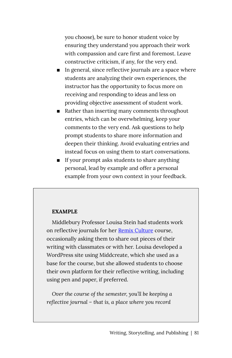you choose), be sure to honor student voice by ensuring they understand you approach their work with compassion and care first and foremost. Leave constructive criticism, if any, for the very end.

- In general, since reflective journals are a space where students are analyzing their own experiences, the instructor has the opportunity to focus more on receiving and responding to ideas and less on providing objective assessment of student work.
- Rather than inserting many comments throughout entries, which can be overwhelming, keep your comments to the very end. Ask questions to help prompt students to share more information and deepen their thinking. Avoid evaluating entries and instead focus on using them to start conversations.
- **If your prompt asks students to share anything** personal, lead by example and offer a personal example from your own context in your feedback.

#### **EXAMPLE**

Middlebury Professor Louisa Stein had students work on reflective journals for her [Remix Culture](https://remixculture.les.middcreate.net/blog/reflective-journal/) course, occasionally asking them to share out pieces of their writing with classmates or with her. Louisa developed a WordPress site using Middcreate, which she used as a base for the course, but she allowed students to choose their own platform for their reflective writing, including using pen and paper, if preferred.

*Over the course of the semester, you'll be keeping a reflective journal – that is, a place where you record*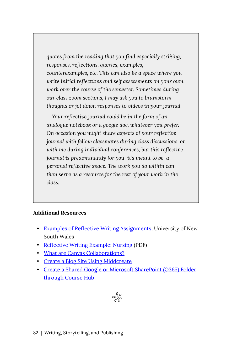*quotes from the reading that you find especially striking, responses, reflections, queries, examples, counterexamples, etc. This can also be a space where you write initial reflections and self assessments on your own work over the course of the semester. Sometimes during our class zoom sections, I may ask you to brainstorm thoughts or jot down responses to videos in your journal.* 

*Your reflective journal could be in the form of an analogue notebook or a google doc, whatever you prefer. On occasion you might share aspects of your reflective journal with fellow classmates during class discussions, or with me during individual conferences, but this reflective journal is predominantly for you–it's meant to be a personal reflective space. The work you do within can then serve as a resource for the rest of your work in the class.* 

#### **Additional Resources**

- [Examples of Reflective Writing Assignments](https://student.unsw.edu.au/examples-reflective-writing), University of New South Wales
- [Reflective Writing Example: Nursing](https://lo.unisa.edu.au/pluginfile.php/1687716/mod_resource/content/0/Reflective%20tasks%20example_nursing_Sept_%202017.pdf) (PDF)
- [What are Canvas Collaborations?](https://community.canvaslms.com/t5/Canvas-Basics-Guide/What-are-Collaborations/ta-p/61)
- [Create a Blog Site Using Middcreate](https://middcreate.net/)
- [Create a Shared Google or Microsoft SharePoint \(O365\) Folder](https://mediawiki.middlebury.edu/LIS/CourseHub) [through Course Hub](https://mediawiki.middlebury.edu/LIS/CourseHub)

$$
e_{\delta\varsigma}^{\varphi}
$$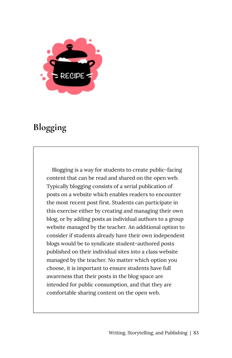

# <span id="page-90-0"></span>**Blogging**

Blogging is a way for students to create public-facing content that can be read and shared on the open web. Typically blogging consists of a serial publication of posts on a website which enables readers to encounter the most recent post first. Students can participate in this exercise either by creating and managing their own blog, or by adding posts as individual authors to a group website managed by the teacher. An additional option to consider if students already have their own independent blogs would be to syndicate student-authored posts published on their individual sites into a class website managed by the teacher. No matter which option you choose, it is important to ensure students have full awareness that their posts in the blog space are intended for public consumption, and that they are comfortable sharing content on the open web.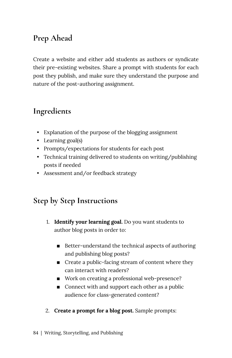# **Prep Ahead**

Create a website and either add students as authors or syndicate their pre-existing websites. Share a prompt with students for each post they publish, and make sure they understand the purpose and nature of the post-authoring assignment.

## **Ingredients**

- Explanation of the purpose of the blogging assignment
- Learning goal(s)
- Prompts/expectations for students for each post
- Technical training delivered to students on writing/publishing posts if needed
- Assessment and/or feedback strategy

### **Step by Step Instructions**

- 1. **Identify your learning goal.** Do you want students to author blog posts in order to:
	- $\blacksquare$  Better-understand the technical aspects of authoring and publishing blog posts?
	- Create a public-facing stream of content where they can interact with readers?
	- Work on creating a professional web-presence?
	- Connect with and support each other as a public audience for class-generated content?
- 2. **Create a prompt for a blog post.** Sample prompts: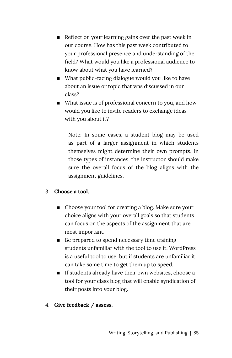- Reflect on your learning gains over the past week in our course. How has this past week contributed to your professional presence and understanding of the field? What would you like a professional audience to know about what you have learned?
- What public-facing dialogue would you like to have about an issue or topic that was discussed in our class?
- What issue is of professional concern to you, and how would you like to invite readers to exchange ideas with you about it?

Note: In some cases, a student blog may be used as part of a larger assignment in which students themselves might determine their own prompts. In those types of instances, the instructor should make sure the overall focus of the blog aligns with the assignment guidelines.

#### 3. **Choose a tool.**

- Choose your tool for creating a blog. Make sure your choice aligns with your overall goals so that students can focus on the aspects of the assignment that are most important.
- Be prepared to spend necessary time training students unfamiliar with the tool to use it. WordPress is a useful tool to use, but if students are unfamiliar it can take some time to get them up to speed.
- **If students already have their own websites, choose a** tool for your class blog that will enable syndication of their posts into your blog.
- 4. **Give feedback / assess.**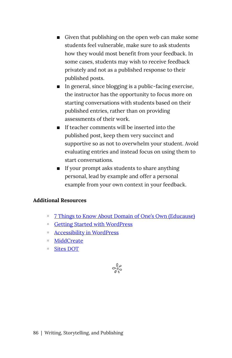- Given that publishing on the open web can make some students feel vulnerable, make sure to ask students how they would most benefit from your feedback. In some cases, students may wish to receive feedback privately and not as a published response to their published posts.
- $\blacksquare$  In general, since blogging is a public-facing exercise, the instructor has the opportunity to focus more on starting conversations with students based on their published entries, rather than on providing assessments of their work.
- $\blacksquare$  If teacher comments will be inserted into the published post, keep them very succinct and supportive so as not to overwhelm your student. Avoid evaluating entries and instead focus on using them to start conversations.
- If your prompt asks students to share anything personal, lead by example and offer a personal example from your own context in your feedback.

#### **Additional Resources**

- [7 Things to Know About Domain of One's Own \(Educause\)](https://student.unsw.edu.au/examples-reflective-writing)
- [Getting Started with WordPress](https://wordpress.org/support/article/new-to-wordpress-where-to-start/)
- [Accessibility in WordPress](https://dlinq.middcreate.net/blog/2021/04/01/accessibility-in-wordpress/)
- [MiddCreate](https://dlinq.middcreate.net/blog/portfolio-items/middcreate/?portfolioCats=302)
- [Sites DOT](https://dlinq.middcreate.net/blog/portfolio-items/sites-dot/?portfolioCats=302)

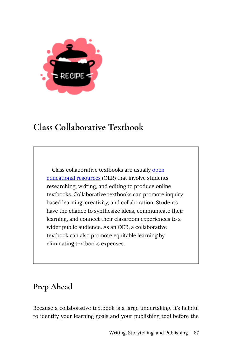

# <span id="page-94-0"></span>**Class Collaborative Textbook**

Class collaborative textbooks are usually open [educational resources](https://creativecommons.org/about/program-areas/education-oer/) (OER) that involve students researching, writing, and editing to produce online textbooks. Collaborative textbooks can promote inquiry based learning, creativity, and collaboration. Students have the chance to synthesize ideas, communicate their learning, and connect their classroom experiences to a wider public audience. As an OER, a collaborative textbook can also promote equitable learning by eliminating textbooks expenses.

## **Prep Ahead**

Because a collaborative textbook is a large undertaking, it's helpful to identify your learning goals and your publishing tool before the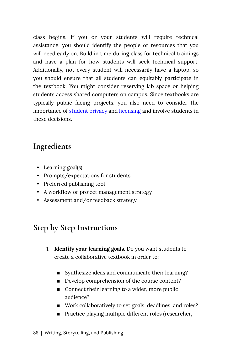class begins. If you or your students will require technical assistance, you should identify the people or resources that you will need early on. Build in time during class for technical trainings and have a plan for how students will seek technical support. Additionally, not every student will necessarily have a laptop, so you should ensure that all students can equitably participate in the textbook. You might consider reserving lab space or helping students access shared computers on campus. Since textbooks are typically public facing projects, you also need to consider the importance of [student privacy](https://press.rebus.community/makingopentextbookswithstudents/chapter/privacy-anonymity/) and [licensing](https://press.rebus.community/makingopentextbookswithstudents/chapter/licensing/) and involve students in these decisions.

### **Ingredients**

- Learning goal(s)
- Prompts/expectations for students
- Preferred publishing tool
- A workflow or project management strategy
- Assessment and/or feedback strategy

### **Step by Step Instructions**

- 1. **Identify your learning goals.** Do you want students to create a collaborative textbook in order to:
	- Synthesize ideas and communicate their learning?
	- Develop comprehension of the course content?
	- Connect their learning to a wider, more public audience?
	- Work collaboratively to set goals, deadlines, and roles?
	- Practice playing multiple different roles (researcher,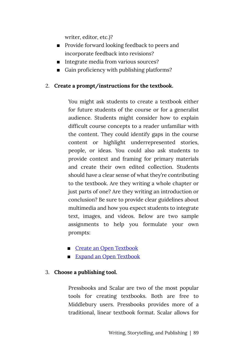writer, editor, etc.)?

- Provide forward looking feedback to peers and incorporate feedback into revisions?
- Integrate media from various sources?
- Gain proficiency with publishing platforms?

#### 2. **Create a prompt/instructions for the textbook.**

You might ask students to create a textbook either for future students of the course or for a generalist audience. Students might consider how to explain difficult course concepts to a reader unfamiliar with the content. They could identify gaps in the course content or highlight underrepresented stories, people, or ideas. You could also ask students to provide context and framing for primary materials and create their own edited collection. Students should have a clear sense of what they're contributing to the textbook. Are they writing a whole chapter or just parts of one? Are they writing an introduction or conclusion? Be sure to provide clear guidelines about multimedia and how you expect students to integrate text, images, and videos. Below are two sample assignments to help you formulate your own prompts:

- **Example 2** Create an Open Textbook
- **Expand an Open Textbook**

#### 3. **Choose a publishing tool.**

Pressbooks and Scalar are two of the most popular tools for creating textbooks. Both are free to Middlebury users. Pressbooks provides more of a traditional, linear textbook format. Scalar allows for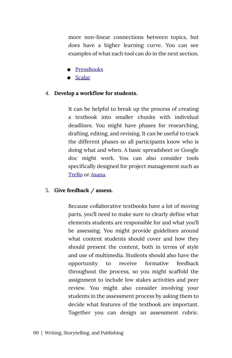more non-linear connections between topics, but does have a higher learning curve. You can see examples of what each tool can do in the next section.

- **[PressBooks](https://pressbooks.middcreate.net/)**
- [Scalar](https://scalar.me/anvc/scalar/features/)

#### 4. **Develop a workflow for students.**

It can be helpful to break up the process of creating a textbook into smaller chunks with individual deadlines. You might have phases for researching, drafting, editing, and revising. It can be useful to track the different phases so all participants know who is doing what and when. A basic spreadsheet or Google doc might work. You can also consider tools specifically designed for project management such as [Trello](https://trello.com/) or [Asana.](https://asana.com/)

#### 5. **Give feedback / assess.**

Because collaborative textbooks have a lot of moving parts, you'll need to make sure to clearly define what elements students are responsible for and what you'll be assessing. You might provide guidelines around what content students should cover and how they should present the content, both in terms of style and use of multimedia. Students should also have the opportunity to receive formative feedback throughout the process, so you might scaffold the assignment to include low stakes activities and peer review. You might also consider involving your students in the assessment process by asking them to decide what features of the textbook are important. Together you can design an assessment rubric.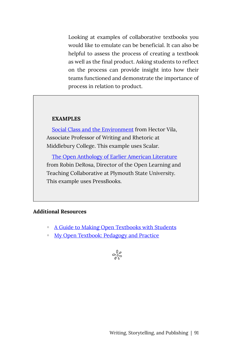Looking at examples of collaborative textbooks you would like to emulate can be beneficial. It can also be helpful to assess the process of creating a textbook as well as the final product. Asking students to reflect on the process can provide insight into how their teams functioned and demonstrate the importance of process in relation to product.

#### **EXAMPLES**

[Social Class and the Environment](http://writingexperience.middcreate.net/social-class-and-the-environment/index) from Hector Vila, Associate Professor of Writing and Rhetoric at Middlebury College. This example uses Scalar.

[The Open Anthology of Earlier American Literature](https://openamlit.pressbooks.com/)  from Robin DeRosa, Director of the Open Learning and Teaching Collaborative at Plymouth State University. This example uses PressBooks.

#### **Additional Resources**

- [A Guide to Making Open Textbooks with Students](https://press.rebus.community/makingopentextbookswithstudents/)
- [My Open Textbook: Pedagogy and Practice](http://robinderosa.net/uncategorized/my-open-textbook-pedagogy-and-practice/)

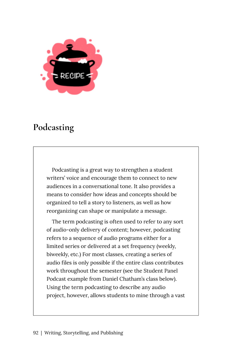

# <span id="page-99-0"></span>**Podcasting**

Podcasting is a great way to strengthen a student writers' voice and encourage them to connect to new audiences in a conversational tone. It also provides a means to consider how ideas and concepts should be organized to tell a story to listeners, as well as how reorganizing can shape or manipulate a message.

The term podcasting is often used to refer to any sort of audio-only delivery of content; however, podcasting refers to a sequence of audio programs either for a limited series or delivered at a set frequency (weekly, biweekly, etc.) For most classes, creating a series of audio files is only possible if the entire class contributes work throughout the semester (see the Student Panel Podcast example from Daniel Chatham's class below). Using the term podcasting to describe any audio project, however, allows students to mine through a vast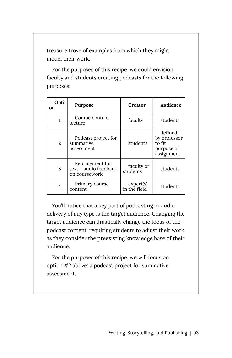treasure trove of examples from which they might model their work.

For the purposes of this recipe, we could envision faculty and students creating podcasts for the following purposes:

| Opti<br>on     | Purpose                                                   | Creator                   | Audience                                                      |
|----------------|-----------------------------------------------------------|---------------------------|---------------------------------------------------------------|
|                | Course content<br>lecture                                 | faculty                   | students                                                      |
| $\overline{2}$ | Podcast project for<br>summative<br>assessment            | students                  | defined<br>by professor<br>to fit<br>purpose of<br>assignment |
| 3              | Replacement for<br>text - audio feedback<br>on coursework | faculty or<br>students    | students                                                      |
| 4              | Primary course<br>content                                 | expert(s)<br>in the field | students                                                      |

You'll notice that a key part of podcasting or audio delivery of any type is the target audience. Changing the target audience can drastically change the focus of the podcast content, requiring students to adjust their work as they consider the preexisting knowledge base of their audience.

For the purposes of this recipe, we will focus on option #2 above: a podcast project for summative assessment.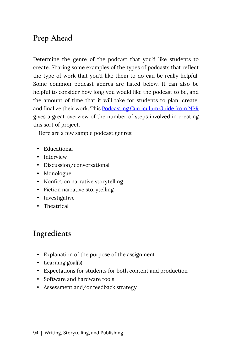# **Prep Ahead**

Determine the genre of the podcast that you'd like students to create. Sharing some examples of the types of podcasts that reflect the type of work that you'd like them to do can be really helpful. Some common podcast genres are listed below. It can also be helpful to consider how long you would like the podcast to be, and the amount of time that it will take for students to plan, create, and finalize their work. This [Podcasting Curriculum Guide from NPR](https://www.npr.org/2018/11/15/662116901/teaching-podcasting-a-curriculum-guide-for-educators) gives a great overview of the number of steps involved in creating this sort of project.

Here are a few sample podcast genres:

- Educational
- Interview
- Discussion/conversational
- Monologue
- Nonfiction narrative storytelling
- Fiction narrative storytelling
- Investigative
- Theatrical

### **Ingredients**

- Explanation of the purpose of the assignment
- Learning goal(s)
- Expectations for students for both content and production
- Software and hardware tools
- Assessment and/or feedback strategy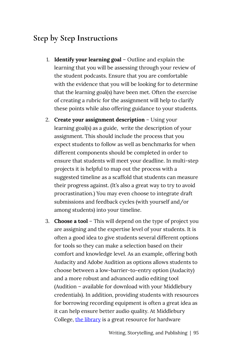### **Step by Step Instructions**

- 1. **Identify your learning goal** Outline and explain the learning that you will be assessing through your review of the student podcasts. Ensure that you are comfortable with the evidence that you will be looking for to determine that the learning goal(s) have been met. Often the exercise of creating a rubric for the assignment will help to clarify these points while also offering guidance to your students.
- 2. **Create your assignment description** Using your learning goal(s) as a guide, write the description of your assignment. This should include the process that you expect students to follow as well as benchmarks for when different components should be completed in order to ensure that students will meet your deadline. In multi-step projects it is helpful to map out the process with a suggested timeline as a scaffold that students can measure their progress against. (It's also a great way to try to avoid procrastination.) You may even choose to integrate draft submissions and feedback cycles (with yourself and/or among students) into your timeline.
- 3. **Choose a tool** This will depend on the type of project you are assigning and the expertise level of your students. It is often a good idea to give students several different options for tools so they can make a selection based on their comfort and knowledge level. As an example, offering both Audacity and Adobe Audition as options allows students to choose between a low-barrier-to-entry option (Audacity) and a more robust and advanced audio editing tool (Audition – available for download with your Middlebury credentials). In addition, providing students with resources for borrowing recording equipment is often a great idea as it can help ensure better audio quality. At Middlebury College, [the library](https://www.middlebury.edu/library/services/borrowing) is a great resource for hardware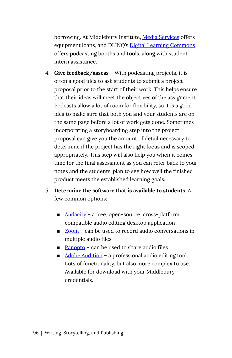borrowing. At Middlebury Institute, [Media Services](https://www.middlebury.edu/institute/offices-services/media-services) offers equipment loans, and DLINQ's [Digital Learning Commons](https://dlinq.middcreate.net/labs/) offers podcasting booths and tools, along with student intern assistance.

- 4. **Give feedback/assess** With podcasting projects, it is often a good idea to ask students to submit a project proposal prior to the start of their work. This helps ensure that their ideas will meet the objectives of the assignment. Podcasts allow a lot of room for flexibility, so it is a good idea to make sure that both you and your students are on the same page before a lot of work gets done. Sometimes incorporating a storyboarding step into the project proposal can give you the amount of detail necessary to determine if the project has the right focus and is scoped appropriately. This step will also help you when it comes time for the final assessment as you can refer back to your notes and the students' plan to see how well the finished product meets the established learning goals.
- 5. **Determine the software that is available to students.** A few common options:
	- [Audacity](https://mediawiki.middlebury.edu/LIS/Audacity) a free, open-source, cross-platform compatible audio editing desktop application
	- [Zoom](https://support.zoom.us/hc/en-us/articles/201362473-Local-Recording?mobile_site=true#h_96380e17-816d-4eda-a4b9-740d1498eac6) can be used to record audio conversations in multiple audio files
	- $\blacksquare$  [Panopto](https://mediawiki.middlebury.edu/LIS/Panopto) can be used to share audio files
	- [Adobe Audition](https://www.adobe.com/products/audition.html) a professional audio editing tool. Lots of functionality, but also more complex to use. Available for download with your Middlebury credentials.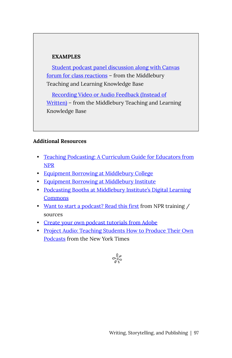#### **EXAMPLES**

[Student podcast panel discussion along with Canvas](https://tlkb.middcreate.net/thing/student-podcast-panel-discussion-along-with-canvas-forum-for-class-reactions/)  [forum for class reactions](https://tlkb.middcreate.net/thing/student-podcast-panel-discussion-along-with-canvas-forum-for-class-reactions/) – from the Middlebury Teaching and Learning Knowledge Base

[Recording Video or Audio Feedback \(Instead of](https://tlkb.middcreate.net/thing/recording-video-or-audio-feedback-instead-of-written/) [Written\)](https://tlkb.middcreate.net/thing/recording-video-or-audio-feedback-instead-of-written/) – from the Middlebury Teaching and Learning Knowledge Base

#### **Additional Resources**

- [Teaching Podcasting: A Curriculum Guide for Educators from](https://www.npr.org/2018/11/15/662116901/teaching-podcasting-a-curriculum-guide-for-educators) [NPR](https://www.npr.org/2018/11/15/662116901/teaching-podcasting-a-curriculum-guide-for-educators)
- [Equipment Borrowing at Middlebury College](https://www.middlebury.edu/library/services/borrowing/equipment-borrowing)
- [Equipment Borrowing at Middlebury Institute](https://www.middlebury.edu/institute/offices-services/media-services)
- [Podcasting Booths at Middlebury Institute's Digital Learning](https://dlinq.middcreate.net/labs/) **[Commons](https://dlinq.middcreate.net/labs/)**
- [Want to start a podcast? Read this first](https://training.npr.org/2018/06/19/so-you-want-to-start-a-podcast-read-this-first/) from NPR training / sources
- [Create your own podcast tutorials from Adobe](https://helpx.adobe.com/audition/how-to/create-podcast.html?playlist=/ccx/v1/collection/product/audition/segment/designer/explevel/beginner/applaunch/basictraining/collection.ccx.js?ref=helpx.adobe.com)
- [Project Audio: Teaching Students How to Produce Their Own](https://www.nytimes.com/2018/04/19/learning/lesson-plans/project-audio-teaching-students-how-to-produce-their-own-podcasts.html) [Podcasts](https://www.nytimes.com/2018/04/19/learning/lesson-plans/project-audio-teaching-students-how-to-produce-their-own-podcasts.html) from the New York Times

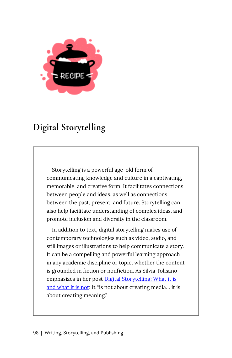

# <span id="page-105-0"></span>**Digital Storytelling**

Storytelling is a powerful age-old form of communicating knowledge and culture in a captivating, memorable, and creative form. It facilitates connections between people and ideas, as well as connections between the past, present, and future. Storytelling can also help facilitate understanding of complex ideas, and promote inclusion and diversity in the classroom.

In addition to text, digital storytelling makes use of contemporary technologies such as video, audio, and still images or illustrations to help communicate a story. It can be a compelling and powerful learning approach in any academic discipline or topic, whether the content is grounded in fiction or nonfiction. As Silvia Tolisano emphasizes in her post [Digital Storytelling: What it is](http://langwitches.org/blog/2015/08/18/digital-storytelling-what-it-is-and-what-it-is-not/)  [and what it is not](http://langwitches.org/blog/2015/08/18/digital-storytelling-what-it-is-and-what-it-is-not/): It "is not about creating media… it is about creating meaning."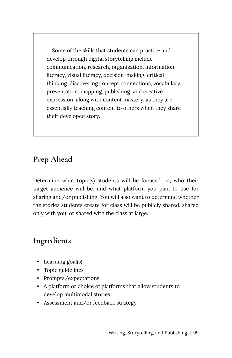Some of the skills that students can practice and develop through digital storytelling include communication, research, organization, information literacy, visual literacy, decision-making, critical thinking, discovering concept connections, vocabulary, presentation, mapping, publishing, and creative expression, along with content mastery, as they are essentially teaching content to others when they share their developed story.

### **Prep Ahead**

Determine what topic(s) students will be focused on, who their target audience will be, and what platform you plan to use for sharing and/or publishing. You will also want to determine whether the stories students create for class will be publicly shared, shared only with you, or shared with the class at large.

### **Ingredients**

- Learning goal(s)
- Topic guidelines
- Prompts/expectations
- A platform or choice of platforms that allow students to develop multimodal stories
- Assessment and/or feedback strategy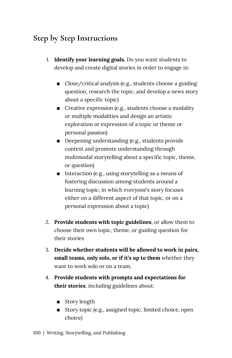## **Step by Step Instructions**

- 1. **Identify your learning goals.** Do you want students to develop and create digital stories in order to engage in:
	- $\Box$  Close/critical analysis (e.g., students choose a guiding question, research the topic, and develop a news story about a specific topic)
	- $\blacksquare$  Creative expression (e.g., students choose a modality or multiple modalities and design an artistic exploration or expression of a topic or theme or personal passion)
	- **•** Deepening understanding (e.g., students provide context and promote understanding through multimodal storytelling about a specific topic, theme, or question)
	- $\blacksquare$  Interaction (e.g., using storytelling as a means of fostering discussion among students around a learning topic, in which everyone's story focuses either on a different aspect of that topic, or on a personal expression about a topic)
- 2. **Provide students with topic guidelines**, or allow them to choose their own topic, theme, or guiding question for their stories
- 3. **Decide whether students will be allowed to work in pairs, small teams, only solo, or if it's up to them** whether they want to work solo or on a team.
- 4. **Provide students with prompts and expectations for their stories**, including guidelines about:
	- Story length
	- **Example 1** Story topic (e.g., assigned topic, limited choice, open choice)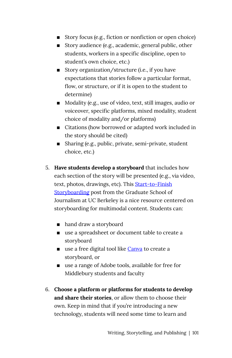- $\blacksquare$  Story focus (e.g., fiction or nonfiction or open choice)
- Story audience (e.g., academic, general public, other students, workers in a specific discipline, open to student's own choice, etc.)
- Story organization/structure (i.e., if you have expectations that stories follow a particular format, flow, or structure, or if it is open to the student to determine)
- Modality (e.g., use of video, text, still images, audio or voiceover, specific platforms, mixed modality, student choice of modality and/or platforms)
- Citations (how borrowed or adapted work included in the story should be cited)
- Sharing (e.g., public, private, semi-private, student choice, etc.)
- 5. **Have students develop a storyboard** that includes how each section of the story will be presented (e.g., via video, text, photos, drawings, etc). This [Start-to-Finish](https://multimedia.journalism.berkeley.edu/tutorials/start-to-finish-storyboarding/)  [Storyboarding](https://multimedia.journalism.berkeley.edu/tutorials/start-to-finish-storyboarding/) post from the Graduate School of Journalism at UC Berkeley is a nice resource centered on storyboarding for multimodal content. Students can:
	- hand draw a storyboard
	- use a spreadsheet or document table to create a storyboard
	- use a free digital tool like [Canva](https://www.canva.com/create/storyboards/) to create a storyboard, or
	- use a range of Adobe tools, available for free for Middlebury students and faculty
- 6. **Choose a platform or platforms for students to develop and share their stories**, or allow them to choose their own. Keep in mind that if you're introducing a new technology, students will need some time to learn and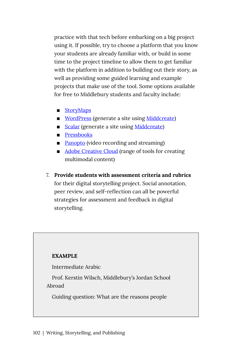practice with that tech before embarking on a big project using it. If possible, try to choose a platform that you know your students are already familiar with, or build in some time to the project timeline to allow them to get familiar with the platform in addition to building out their story, as well as providing some guided learning and example projects that make use of the tool. Some options available for free to Middlebury students and faculty include:

- StoryMaps
- [WordPress](https://wordpress.org/) (generate a site using [Middcreate\)](https://middcreate.net/)
- [Scalar](https://scalar.me/anvc/scalar/features/) (generate a site using [Middcreate\)](https://middcreate.net/)
- **Pressbooks**
- [Panopto](https://midd.hosted.panopto.com/) (video recording and streaming)
- [Adobe Creative Cloud](https://servicecatalog.middlebury.edu/services/adobe-creative-cloud) (range of tools for creating multimodal content)
- 7. **Provide students with assessment criteria and rubrics**  for their digital storytelling project. Social annotation, peer review, and self-reflection can all be powerful strategies for assessment and feedback in digital storytelling.

#### **EXAMPLE**

Intermediate Arabic

Prof. Kerstin Wilsch, Middlebury's Jordan School Abroad

Guiding question: What are the reasons people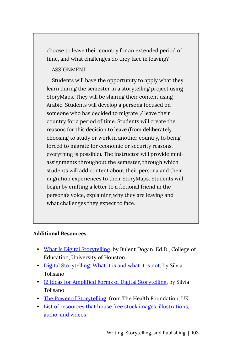choose to leave their country for an extended period of time, and what challenges do they face in leaving?

#### ASSIGNMENT

Students will have the opportunity to apply what they learn during the semester in a storytelling project using StoryMaps. They will be sharing their content using Arabic. Students will develop a persona focused on someone who has decided to migrate / leave their country for a period of time. Students will create the reasons for this decision to leave (from deliberately choosing to study or work in another country, to being forced to migrate for economic or security reasons, everything is possible). The instructor will provide miniassignments throughout the semester, through which students will add content about their persona and their migration experiences to their StoryMaps. Students will begin by crafting a letter to a fictional friend in the persona's voice, explaining why they are leaving and what challenges they expect to face.

#### **Additional Resources**

- [What Is Digital Storytelling,](https://digitalstorytelling.coe.uh.edu/page.cfm?id=27&cid=27&sublinkid=29) by Bulent Dogan, Ed.D., College of Education, University of Houston
- [Digital Storytelling: What it is and what it is not,](http://langwitches.org/blog/2015/08/18/digital-storytelling-what-it-is-and-what-it-is-not/) by Silvia Tolisano
- [12 Ideas for Amplified Forms of Digital Storytelling](http://langwitches.org/blog/2019/07/07/12-ideas-for-amplified-forms-of-digital-storytelling/), by Silvia Tolisano
- [The Power of Storytelling](https://www.health.org.uk/newsletter-feature/power-of-storytelling), from The Health Foundation, UK
- [List of resources that house free stock images, illustrations,](https://docs.google.com/document/d/1SRS-a4RjnK2tlTtBbmatWvpEkjeQWP_gZHQe_-H1AkM/edit) [audio, and videos](https://docs.google.com/document/d/1SRS-a4RjnK2tlTtBbmatWvpEkjeQWP_gZHQe_-H1AkM/edit)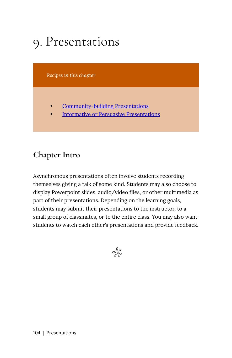# 9. Presentations

*Recipes in this chapter* 

- [Community-building Presentations](#page-112-0)
- [Informative or Persuasive Presentations](#page-116-0)

## **Chapter Intro**

Asynchronous presentations often involve students recording themselves giving a talk of some kind. Students may also choose to display Powerpoint slides, audio/video files, or other multimedia as part of their presentations. Depending on the learning goals, students may submit their presentations to the instructor, to a small group of classmates, or to the entire class. You may also want students to watch each other's presentations and provide feedback.

 $\frac{1}{2}$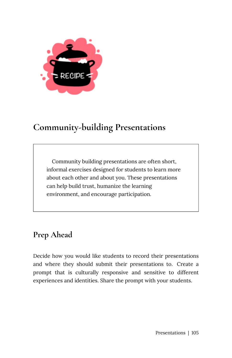

# <span id="page-112-0"></span>**Community-building Presentations**

Community building presentations are often short, informal exercises designed for students to learn more about each other and about you. These presentations can help build trust, humanize the learning environment, and encourage participation.

# **Prep Ahead**

Decide how you would like students to record their presentations and where they should submit their presentations to. Create a prompt that is culturally responsive and sensitive to different experiences and identities. Share the prompt with your students.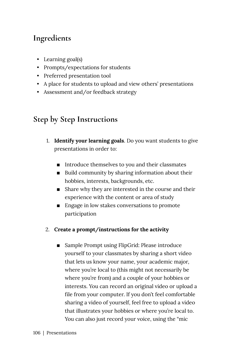## **Ingredients**

- Learning goal(s)
- Prompts/expectations for students
- Preferred presentation tool
- A place for students to upload and view others' presentations
- Assessment and/or feedback strategy

## **Step by Step Instructions**

- 1. **Identify your learning goals**. Do you want students to give presentations in order to:
	- Introduce themselves to you and their classmates
	- Build community by sharing information about their hobbies, interests, backgrounds, etc.
	- Share why they are interested in the course and their experience with the content or area of study
	- Engage in low stakes conversations to promote participation
- 2. **Create a prompt/instructions for the activity** 
	- Sample Prompt using FlipGrid: Please introduce yourself to your classmates by sharing a short video that lets us know your name, your academic major, where you're local to (this might not necessarily be where you're from) and a couple of your hobbies or interests. You can record an original video or upload a file from your computer. If you don't feel comfortable sharing a video of yourself, feel free to upload a video that illustrates your hobbies or where you're local to. You can also just record your voice, using the "mic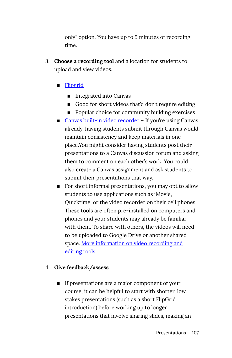only" option. You have up to 5 minutes of recording time.

3. **Choose a recording tool** and a location for students to upload and view videos.

#### ■ Flipgrid

- Integrated into Canvas
- Good for short videos that'd don't require editing
- Popular choice for community building exercises
- [Canvas built-in video recorder](https://community.canvaslms.com/t5/Student-Guide/How-do-I-record-media-using-the-Rich-Content-Editor-as-a-student/ta-p/379) If you're using Canvas already, having students submit through Canvas would maintain consistency and keep materials in one place.You might consider having students post their presentations to a Canvas discussion forum and asking them to comment on each other's work. You could also create a Canvas assignment and ask students to submit their presentations that way.
- For short informal presentations, you may opt to allow students to use applications such as iMovie, Quicktime, or the video recorder on their cell phones. These tools are often pre-installed on computers and phones and your students may already be familiar with them. To share with others, the videos will need to be uploaded to Google Drive or another shared space. [More information on video recording and](https://dlinq.middcreate.net/video-recording-editing/) [editing tools.](https://dlinq.middcreate.net/video-recording-editing/)

#### 4. **Give feedback/assess**

**If presentations are a major component of your** course, it can be helpful to start with shorter, low stakes presentations (such as a short FlipGrid introduction) before working up to longer presentations that involve sharing slides, making an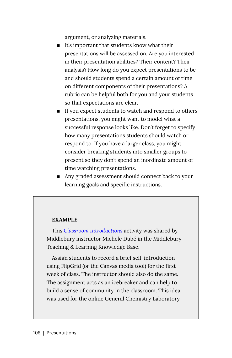argument, or analyzing materials.

- It's important that students know what their presentations will be assessed on. Are you interested in their presentation abilities? Their content? Their analysis? How long do you expect presentations to be and should students spend a certain amount of time on different components of their presentations? A rubric can be helpful both for you and your students so that expectations are clear.
- If you expect students to watch and respond to others' presentations, you might want to model what a successful response looks like. Don't forget to specify how many presentations students should watch or respond to. If you have a larger class, you might consider breaking students into smaller groups to present so they don't spend an inordinate amount of time watching presentations.
- Any graded assessment should connect back to your learning goals and specific instructions.

#### **EXAMPLE**

This *[Classroom Introductions](https://tlkb.middcreate.net/thing/classroom-introductions/)* activity was shared by Middlebury instructor Michele Dubé in the Middlebury Teaching & Learning Knowledge Base.

Assign students to record a brief self-introduction using FlipGrid (or the Canvas media tool) for the first week of class. The instructor should also do the same. The assignment acts as an icebreaker and can help to build a sense of community in the classroom. This idea was used for the online General Chemistry Laboratory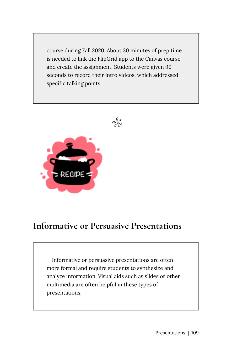course during Fall 2020. About 30 minutes of prep time is needed to link the FlipGrid app to the Canvas course and create the assignment. Students were given 90 seconds to record their intro videos, which addressed specific talking points.





# <span id="page-116-0"></span>**Informative or Persuasive Presentations**

Informative or persuasive presentations are often more formal and require students to synthesize and analyze information. Visual aids such as slides or other multimedia are often helpful in these types of presentations.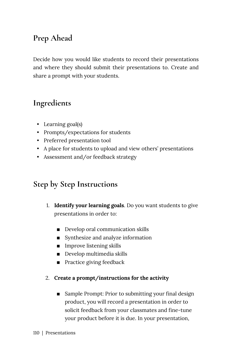# **Prep Ahead**

Decide how you would like students to record their presentations and where they should submit their presentations to. Create and share a prompt with your students.

## **Ingredients**

- Learning goal(s)
- Prompts/expectations for students
- Preferred presentation tool
- A place for students to upload and view others' presentations
- Assessment and/or feedback strategy

## **Step by Step Instructions**

- 1. **Identify your learning goals**. Do you want students to give presentations in order to:
	- Develop oral communication skills
	- **EXECUTE:** Synthesize and analyze information
	- **IMPROVE LETT** Improve listening skills
	- **•** Develop multimedia skills
	- Practice giving feedback
- 2. **Create a prompt/instructions for the activity** 
	- Sample Prompt: Prior to submitting your final design product, you will record a presentation in order to solicit feedback from your classmates and fine-tune your product before it is due. In your presentation,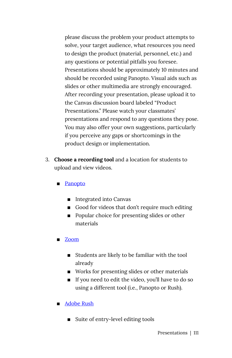please discuss the problem your product attempts to solve, your target audience, what resources you need to design the product (material, personnel, etc.) and any questions or potential pitfalls you foresee. Presentations should be approximately 10 minutes and should be recorded using Panopto. Visual aids such as slides or other multimedia are strongly encouraged. After recording your presentation, please upload it to the Canvas discussion board labeled "Product Presentations." Please watch your classmates' presentations and respond to any questions they pose. You may also offer your own suggestions, particularly if you perceive any gaps or shortcomings in the product design or implementation.

- 3. **Choose a recording tool** and a location for students to upload and view videos.
	- Panopto
		- Integrated into Canvas
		- Good for videos that don't require much editing
		- Popular choice for presenting slides or other materials
	- Zoom
		- Students are likely to be familiar with the tool already
		- Works for presenting slides or other materials
		- If you need to edit the video, you'll have to do so using a different tool (i.e., Panopto or Rush).
	- Adobe Rush
		- Suite of entry-level editing tools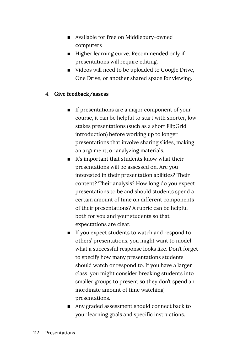- Available for free on Middlebury-owned computers
- Higher learning curve. Recommended only if presentations will require editing.
- Videos will need to be uploaded to Google Drive, One Drive, or another shared space for viewing.

#### 4. **Give feedback/assess**

- **If presentations are a major component of your** course, it can be helpful to start with shorter, low stakes presentations (such as a short FlipGrid introduction) before working up to longer presentations that involve sharing slides, making an argument, or analyzing materials.
- $\blacksquare$  It's important that students know what their presentations will be assessed on. Are you interested in their presentation abilities? Their content? Their analysis? How long do you expect presentations to be and should students spend a certain amount of time on different components of their presentations? A rubric can be helpful both for you and your students so that expectations are clear.
- If you expect students to watch and respond to others' presentations, you might want to model what a successful response looks like. Don't forget to specify how many presentations students should watch or respond to. If you have a larger class, you might consider breaking students into smaller groups to present so they don't spend an inordinate amount of time watching presentations.
- Any graded assessment should connect back to your learning goals and specific instructions.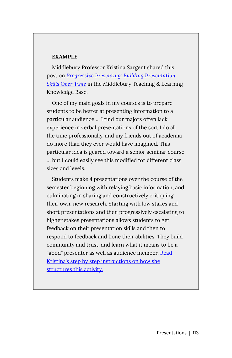#### **EXAMPLE**

Middlebury Professor Kristina Sargent shared this post on *[Progressive Presenting: Building Presentation](https://tlkb.middcreate.net/thing/progressive-presenting-building-presentation-skills-over-time/)  [Skills Over Time](https://tlkb.middcreate.net/thing/progressive-presenting-building-presentation-skills-over-time/)* in the Middlebury Teaching & Learning Knowledge Base.

One of my main goals in my courses is to prepare students to be better at presenting information to a particular audience…. I find our majors often lack experience in verbal presentations of the sort I do all the time professionally, and my friends out of academia do more than they ever would have imagined. This particular idea is geared toward a senior seminar course … but I could easily see this modified for different class sizes and levels.

Students make 4 presentations over the course of the semester beginning with relaying basic information, and culminating in sharing and constructively critiquing their own, new research. Starting with low stakes and short presentations and then progressively escalating to higher stakes presentations allows students to get feedback on their presentation skills and then to respond to feedback and hone their abilities. They build community and trust, and learn what it means to be a "good" presenter as well as audience member. Read [Kristina's step by step instructions on how she](https://tlkb.middcreate.net/thing/progressive-presenting-building-presentation-skills-over-time/)  [structures this activity.](https://tlkb.middcreate.net/thing/progressive-presenting-building-presentation-skills-over-time/)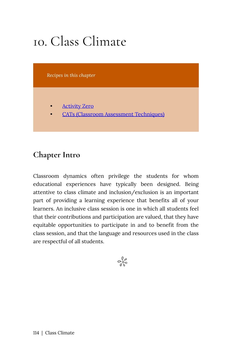# 10. Class Climate

*Recipes in this chapter* 

- **Activity Zero**
- [CATs \(Classroom Assessment Techniques\)](#page-126-0)

## **Chapter Intro**

Classroom dynamics often privilege the students for whom educational experiences have typically been designed. Being attentive to class climate and inclusion/exclusion is an important part of providing a learning experience that benefits all of your learners. An inclusive class session is one in which all students feel that their contributions and participation are valued, that they have equitable opportunities to participate in and to benefit from the class session, and that the language and resources used in the class are respectful of all students.

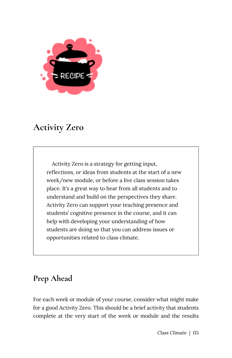

# <span id="page-122-0"></span>**Activity Zero**

Activity Zero is a strategy for getting input, reflections, or ideas from students at the start of a new week/new module, or before a live class session takes place. It's a great way to hear from all students and to understand and build on the perspectives they share. Activity Zero can support your teaching presence and students' cognitive presence in the course, and it can help with developing your understanding of how students are doing so that you can address issues or opportunities related to class climate.

## **Prep Ahead**

For each week or module of your course, consider what might make for a good Activity Zero. This should be a brief activity that students complete at the very start of the week or module and the results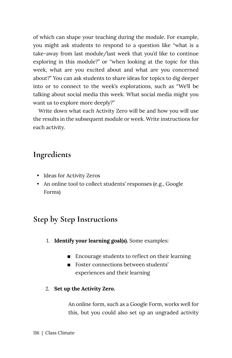of which can shape your teaching during the module. For example, you might ask students to respond to a question like "what is a take-away from last module/last week that you'd like to continue exploring in this module?" or "when looking at the topic for this week, what are you excited about and what are you concerned about?" You can ask students to share ideas for topics to dig deeper into or to connect to the week's explorations, such as "We'll be talking about social media this week. What social media might you want us to explore more deeply?"

Write down what each Activity Zero will be and how you will use the results in the subsequent module or week. Write instructions for each activity.

### **Ingredients**

- Ideas for Activity Zeros
- An online tool to collect students' responses (e.g., Google Forms)

### **Step by Step Instructions**

- 1. **Identify your learning goal(s).** Some examples:
	- Encourage students to reflect on their learning
	- Foster connections between students' experiences and their learning
- 2. **Set up the Activity Zero.**

An online form, such as a Google Form, works well for this, but you could also set up an ungraded activity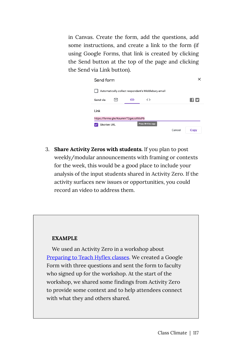in Canvas. Create the form, add the questions, add some instructions, and create a link to the form (if using Google Forms, that link is created by clicking the Send button at the top of the page and clicking the Send via Link button).

| Send form   |   |                                     |                                                     |        | ×     |
|-------------|---|-------------------------------------|-----------------------------------------------------|--------|-------|
|             |   |                                     | Automatically collect respondent's Middlebury email |        |       |
| Send via    | ╰ | ⊝                                   | $\langle$                                           |        | E1 F. |
| Link        |   |                                     |                                                     |        |       |
|             |   | https://forms.gle/KoummT2gaiJcRXxP6 |                                                     |        |       |
| Shorten URL |   |                                     | Press 3t+C to copy                                  |        |       |
|             |   |                                     |                                                     | Cancel | Copy  |

3. **Share Activity Zeros with students.** If you plan to post weekly/modular announcements with framing or contexts for the week, this would be a good place to include your analysis of the input students shared in Activity Zero. If the activity surfaces new issues or opportunities, you could record an video to address them.

#### **EXAMPLE**

We used an Activity Zero in a workshop about [Preparing to Teach Hyflex classes](https://dlinq.middcreate.net/blog/2021/08/13/preparing-to-teach-hyflex-classes/). We created a Google Form with three questions and sent the form to faculty who signed up for the workshop. At the start of the workshop, we shared some findings from Activity Zero to provide some context and to help attendees connect with what they and others shared.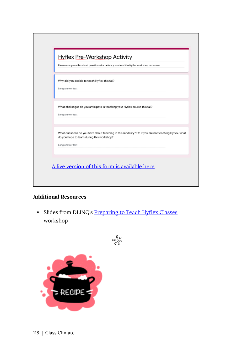|                  | Please complete this short questionnaire before you attend the Hyflex workshop tomorrow.                                                           |
|------------------|----------------------------------------------------------------------------------------------------------------------------------------------------|
|                  | Why did you decide to teach Hyflex this fall?                                                                                                      |
| Long answer text |                                                                                                                                                    |
|                  | What challenges do you anticipate in teaching your Hyflex course this fall?                                                                        |
| Long answer text |                                                                                                                                                    |
|                  |                                                                                                                                                    |
|                  | What questions do you have about teaching in this modality? Or, if you are not teaching Hyflex, what<br>do you hope to learn during this workshop? |
| Long answer text |                                                                                                                                                    |
|                  |                                                                                                                                                    |

#### **Additional Resources**

• Slides from DLINQ's [Preparing to Teach Hyflex Classes](https://docs.google.com/presentation/d/1MMcgrQ0yrahTAlHVCRqbZxpsusCVDq0C15WuIfry-hQ/edit?usp=sharing) workshop

 $e_{0.0}^{\circ}$ 

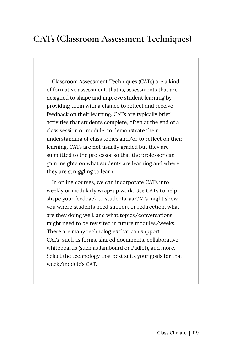# <span id="page-126-0"></span>**CATs (Classroom Assessment Techniques)**

Classroom Assessment Techniques (CATs) are a kind of formative assessment, that is, assessments that are designed to shape and improve student learning by providing them with a chance to reflect and receive feedback on their learning. CATs are typically brief activities that students complete, often at the end of a class session or module, to demonstrate their understanding of class topics and/or to reflect on their learning. CATs are not usually graded but they are submitted to the professor so that the professor can gain insights on what students are learning and where they are struggling to learn.

In online courses, we can incorporate CATs into weekly or modularly wrap-up work. Use CATs to help shape your feedback to students, as CATs might show you where students need support or redirection, what are they doing well, and what topics/conversations might need to be revisited in future modules/weeks. There are many technologies that can support CATs–such as forms, shared documents, collaborative whiteboards (such as Jamboard or Padlet), and more. Select the technology that best suits your goals for that week/module's CAT.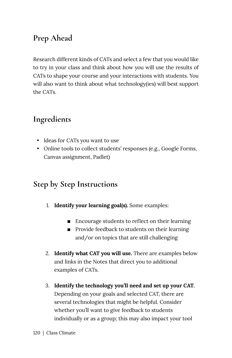# **Prep Ahead**

Research different kinds of CATs and select a few that you would like to try in your class and think about how you will use the results of CATs to shape your course and your interactions with students. You will also want to think about what technology(ies) will best support the CATs.

## **Ingredients**

- Ideas for CATs you want to use
- Online tools to collect students' responses (e.g., Google Forms, Canvas assignment, Padlet)

## **Step by Step Instructions**

- 1. **Identify your learning goal(s).** Some examples:
	- Encourage students to reflect on their learning
	- Provide feedback to students on their learning and/or on topics that are still challenging
- 2. **Identify what CAT you will use.** There are examples below and links in the Notes that direct you to additional examples of CATs.
- 3. **Identify the technology you'll need and set up your CAT.** Depending on your goals and selected CAT, there are several technologies that might be helpful. Consider whether you'll want to give feedback to students individually or as a group; this may also impact your tool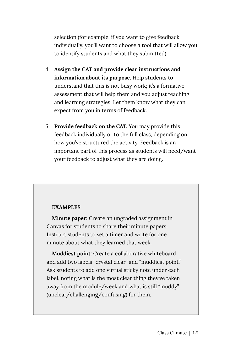selection (for example, if you want to give feedback individually, you'll want to choose a tool that will allow you to identify students and what they submitted).

- 4. **Assign the CAT and provide clear instructions and information about its purpose.** Help students to understand that this is not busy work; it's a formative assessment that will help them and you adjust teaching and learning strategies. Let them know what they can expect from you in terms of feedback.
- 5. **Provide feedback on the CAT.** You may provide this feedback individually or to the full class, depending on how you've structured the activity. Feedback is an important part of this process as students will need/want your feedback to adjust what they are doing.

#### **EXAMPLES**

**Minute paper:** Create an ungraded assignment in Canvas for students to share their minute papers. Instruct students to set a timer and write for one minute about what they learned that week.

**Muddiest point:** Create a collaborative whiteboard and add two labels "crystal clear" and "muddiest point." Ask students to add one virtual sticky note under each label, noting what is the most clear thing they've taken away from the module/week and what is still "muddy" (unclear/challenging/confusing) for them.